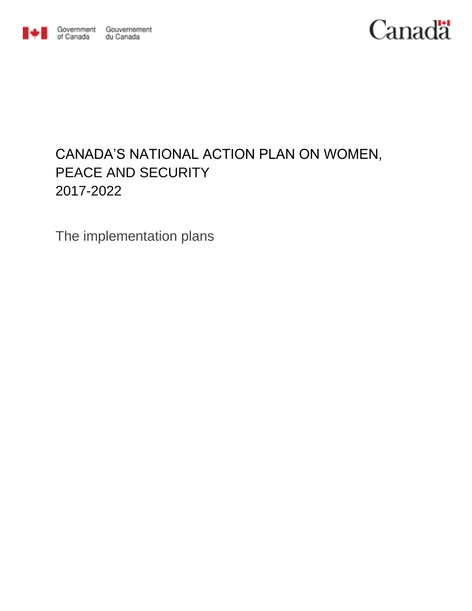

Government Gouvernement du Canada

# **Canadä**

# CANADA'S NATIONAL ACTION PLAN ON WOMEN, PEACE AND SECURITY 2017-2022

The implementation plans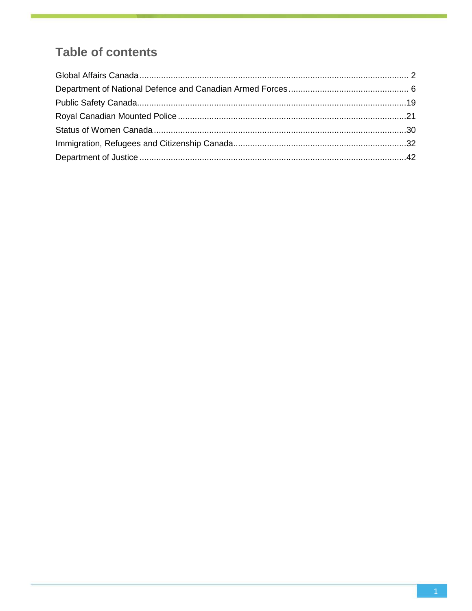# **Table of contents**

<span id="page-1-0"></span>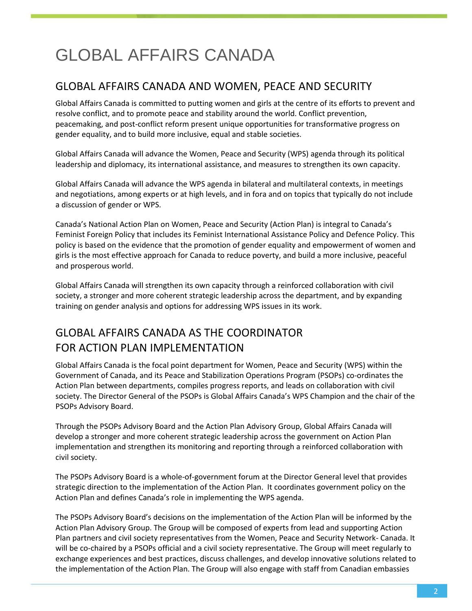# GLOBAL AFFAIRS CANADA

### GLOBAL AFFAIRS CANADA AND WOMEN, PEACE AND SECURITY

Global Affairs Canada is committed to putting women and girls at the centre of its efforts to prevent and resolve conflict, and to promote peace and stability around the world. Conflict prevention, peacemaking, and post-conflict reform present unique opportunities for transformative progress on gender equality, and to build more inclusive, equal and stable societies.

Global Affairs Canada will advance the Women, Peace and Security (WPS) agenda through its political leadership and diplomacy, its international assistance, and measures to strengthen its own capacity.

Global Affairs Canada will advance the WPS agenda in bilateral and multilateral contexts, in meetings and negotiations, among experts or at high levels, and in fora and on topics that typically do not include a discussion of gender or WPS.

Canada's National Action Plan on Women, Peace and Security (Action Plan) is integral to Canada's Feminist Foreign Policy that includes its Feminist International Assistance Policy and Defence Policy. This policy is based on the evidence that the promotion of gender equality and empowerment of women and girls is the most effective approach for Canada to reduce poverty, and build a more inclusive, peaceful and prosperous world.

Global Affairs Canada will strengthen its own capacity through a reinforced collaboration with civil society, a stronger and more coherent strategic leadership across the department, and by expanding training on gender analysis and options for addressing WPS issues in its work.

# GLOBAL AFFAIRS CANADA AS THE COORDINATOR FOR ACTION PLAN IMPLEMENTATION

Global Affairs Canada is the focal point department for Women, Peace and Security (WPS) within the Government of Canada, and its Peace and Stabilization Operations Program (PSOPs) co-ordinates the Action Plan between departments, compiles progress reports, and leads on collaboration with civil society. The Director General of the PSOPs is Global Affairs Canada's WPS Champion and the chair of the PSOPs Advisory Board.

Through the PSOPs Advisory Board and the Action Plan Advisory Group, Global Affairs Canada will develop a stronger and more coherent strategic leadership across the government on Action Plan implementation and strengthen its monitoring and reporting through a reinforced collaboration with civil society.

The PSOPs Advisory Board is a whole-of-government forum at the Director General level that provides strategic direction to the implementation of the Action Plan. It coordinates government policy on the Action Plan and defines Canada's role in implementing the WPS agenda.

The PSOPs Advisory Board's decisions on the implementation of the Action Plan will be informed by the Action Plan Advisory Group. The Group will be composed of experts from lead and supporting Action Plan partners and civil society representatives from the Women, Peace and Security Network- Canada. It will be co-chaired by a PSOPs official and a civil society representative. The Group will meet regularly to exchange experiences and best practices, discuss challenges, and develop innovative solutions related to the implementation of the Action Plan. The Group will also engage with staff from Canadian embassies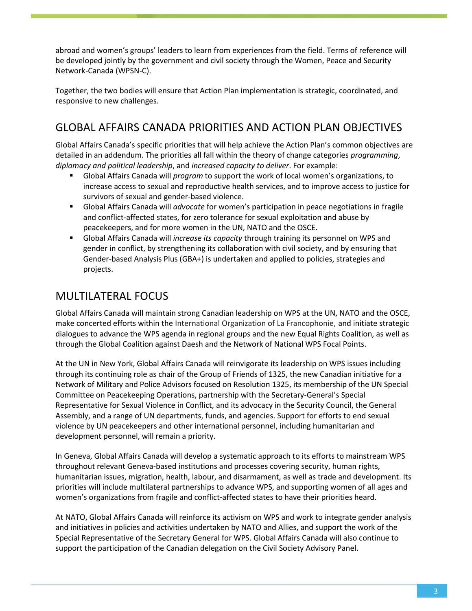abroad and women's groups' leaders to learn from experiences from the field. Terms of reference will be developed jointly by the government and civil society through the Women, Peace and Security Network-Canada (WPSN-C).

Together, the two bodies will ensure that Action Plan implementation is strategic, coordinated, and responsive to new challenges.

## GLOBAL AFFAIRS CANADA PRIORITIES AND ACTION PLAN OBJECTIVES

Global Affairs Canada's specific priorities that will help achieve the Action Plan's common objectives are detailed in an addendum. The priorities all fall within the theory of change categories *programming*, *diplomacy and political leadership*, and *increased capacity to deliver*. For example:

- Global Affairs Canada will *program* to support the work of local women's organizations, to increase access to sexual and reproductive health services, and to improve access to justice for survivors of sexual and gender-based violence.
- Global Affairs Canada will *advocate* for women's participation in peace negotiations in fragile and conflict-affected states, for zero tolerance for sexual exploitation and abuse by peacekeepers, and for more women in the UN, NATO and the OSCE.
- Global Affairs Canada will *increase its capacity* through training its personnel on WPS and gender in conflict, by strengthening its collaboration with civil society, and by ensuring that Gender-based Analysis Plus (GBA+) is undertaken and applied to policies, strategies and projects.

# MULTILATERAL FOCUS

Global Affairs Canada will maintain strong Canadian leadership on WPS at the UN, NATO and the OSCE, make concerted efforts within the International Organization of La Francophonie, and initiate strategic dialogues to advance the WPS agenda in regional groups and the new Equal Rights Coalition, as well as through the Global Coalition against Daesh and the Network of National WPS Focal Points.

At the UN in New York, Global Affairs Canada will reinvigorate its leadership on WPS issues including through its continuing role as chair of the Group of Friends of 1325, the new Canadian initiative for a Network of Military and Police Advisors focused on Resolution 1325, its membership of the UN Special Committee on Peacekeeping Operations, partnership with the Secretary-General's Special Representative for Sexual Violence in Conflict, and its advocacy in the Security Council, the General Assembly, and a range of UN departments, funds, and agencies. Support for efforts to end sexual violence by UN peacekeepers and other international personnel, including humanitarian and development personnel, will remain a priority.

In Geneva, Global Affairs Canada will develop a systematic approach to its efforts to mainstream WPS throughout relevant Geneva-based institutions and processes covering security, human rights, humanitarian issues, migration, health, labour, and disarmament, as well as trade and development. Its priorities will include multilateral partnerships to advance WPS, and supporting women of all ages and women's organizations from fragile and conflict-affected states to have their priorities heard.

At NATO, Global Affairs Canada will reinforce its activism on WPS and work to integrate gender analysis and initiatives in policies and activities undertaken by NATO and Allies, and support the work of the Special Representative of the Secretary General for WPS. Global Affairs Canada will also continue to support the participation of the Canadian delegation on the Civil Society Advisory Panel.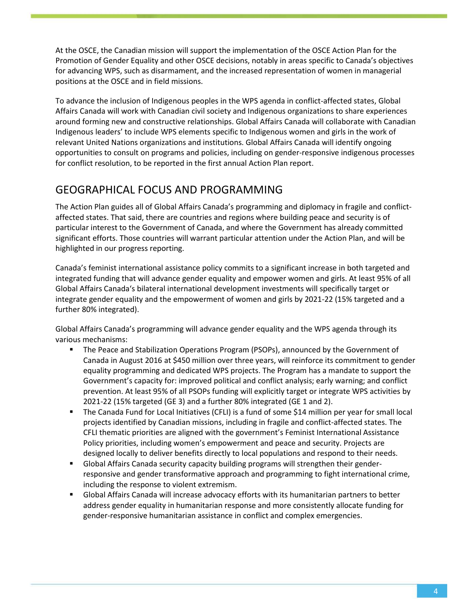At the OSCE, the Canadian mission will support the implementation of the OSCE Action Plan for the Promotion of Gender Equality and other OSCE decisions, notably in areas specific to Canada's objectives for advancing WPS, such as disarmament, and the increased representation of women in managerial positions at the OSCE and in field missions.

To advance the inclusion of Indigenous peoples in the WPS agenda in conflict-affected states, Global Affairs Canada will work with Canadian civil society and Indigenous organizations to share experiences around forming new and constructive relationships. Global Affairs Canada will collaborate with Canadian Indigenous leaders' to include WPS elements specific to Indigenous women and girls in the work of relevant United Nations organizations and institutions. Global Affairs Canada will identify ongoing opportunities to consult on programs and policies, including on gender-responsive indigenous processes for conflict resolution, to be reported in the first annual Action Plan report.

## GEOGRAPHICAL FOCUS AND PROGRAMMING

The Action Plan guides all of Global Affairs Canada's programming and diplomacy in fragile and conflictaffected states. That said, there are countries and regions where building peace and security is of particular interest to the Government of Canada, and where the Government has already committed significant efforts. Those countries will warrant particular attention under the Action Plan, and will be highlighted in our progress reporting.

Canada's feminist international assistance policy commits to a significant increase in both targeted and integrated funding that will advance gender equality and empower women and girls. At least 95% of all Global Affairs Canada's bilateral international development investments will specifically target or integrate gender equality and the empowerment of women and girls by 2021-22 (15% targeted and a further 80% integrated).

Global Affairs Canada's programming will advance gender equality and the WPS agenda through its various mechanisms:

- The Peace and Stabilization Operations Program (PSOPs), announced by the Government of Canada in August 2016 at \$450 million over three years, will reinforce its commitment to gender equality programming and dedicated WPS projects. The Program has a mandate to support the Government's capacity for: improved political and conflict analysis; early warning; and conflict prevention. At least 95% of all PSOPs funding will explicitly target or integrate WPS activities by 2021-22 (15% targeted (GE 3) and a further 80% integrated (GE 1 and 2).
- The Canada Fund for Local Initiatives (CFLI) is a fund of some \$14 million per year for small local projects identified by Canadian missions, including in fragile and conflict-affected states. The CFLI thematic priorities are aligned with the government's Feminist International Assistance Policy priorities, including women's empowerment and peace and security. Projects are designed locally to deliver benefits directly to local populations and respond to their needs.
- Global Affairs Canada security capacity building programs will strengthen their genderresponsive and gender transformative approach and programming to fight international crime, including the response to violent extremism.
- Global Affairs Canada will increase advocacy efforts with its humanitarian partners to better address gender equality in humanitarian response and more consistently allocate funding for gender-responsive humanitarian assistance in conflict and complex emergencies.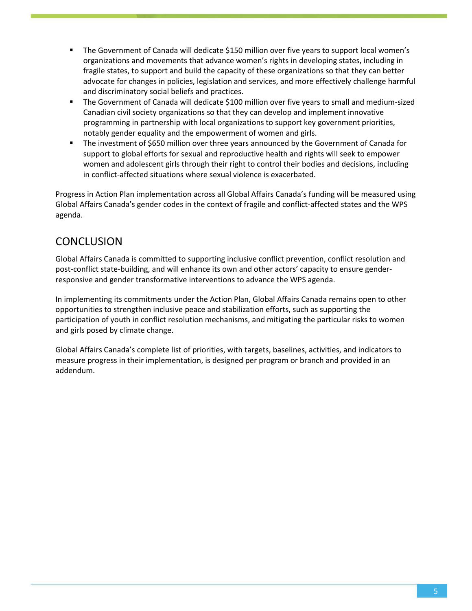- The Government of Canada will dedicate \$150 million over five years to support local women's organizations and movements that advance women's rights in developing states, including in fragile states, to support and build the capacity of these organizations so that they can better advocate for changes in policies, legislation and services, and more effectively challenge harmful and discriminatory social beliefs and practices.
- The Government of Canada will dedicate \$100 million over five years to small and medium-sized Canadian civil society organizations so that they can develop and implement innovative programming in partnership with local organizations to support key government priorities, notably gender equality and the empowerment of women and girls.
- **The investment of \$650 million over three years announced by the Government of Canada for** support to global efforts for sexual and reproductive health and rights will seek to empower women and adolescent girls through their right to control their bodies and decisions, including in conflict-affected situations where sexual violence is exacerbated.

Progress in Action Plan implementation across all Global Affairs Canada's funding will be measured using Global Affairs Canada's gender codes in the context of fragile and conflict-affected states and the WPS agenda.

### **CONCLUSION**

Global Affairs Canada is committed to supporting inclusive conflict prevention, conflict resolution and post-conflict state-building, and will enhance its own and other actors' capacity to ensure genderresponsive and gender transformative interventions to advance the WPS agenda.

In implementing its commitments under the Action Plan, Global Affairs Canada remains open to other opportunities to strengthen inclusive peace and stabilization efforts, such as supporting the participation of youth in conflict resolution mechanisms, and mitigating the particular risks to women and girls posed by climate change.

<span id="page-5-0"></span>Global Affairs Canada's complete list of priorities, with targets, baselines, activities, and indicators to measure progress in their implementation, is designed per program or branch and provided in an addendum.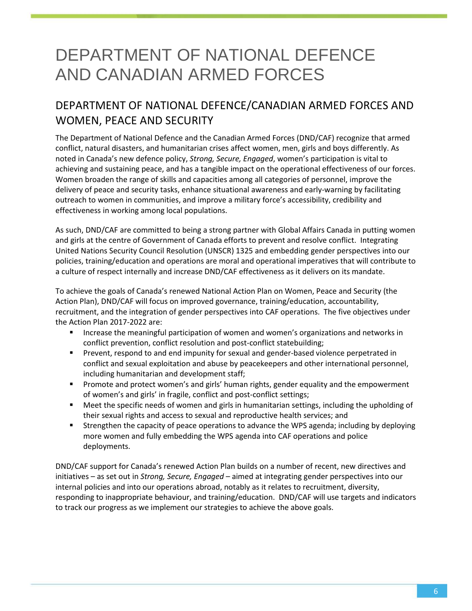# DEPARTMENT OF NATIONAL DEFENCE AND CANADIAN ARMED FORCES

# DEPARTMENT OF NATIONAL DEFENCE/CANADIAN ARMED FORCES AND WOMEN, PEACE AND SECURITY

The Department of National Defence and the Canadian Armed Forces (DND/CAF) recognize that armed conflict, natural disasters, and humanitarian crises affect women, men, girls and boys differently. As noted in Canada's new defence policy, *Strong, Secure, Engaged*, women's participation is vital to achieving and sustaining peace, and has a tangible impact on the operational effectiveness of our forces. Women broaden the range of skills and capacities among all categories of personnel, improve the delivery of peace and security tasks, enhance situational awareness and early-warning by facilitating outreach to women in communities, and improve a military force's accessibility, credibility and effectiveness in working among local populations.

As such, DND/CAF are committed to being a strong partner with Global Affairs Canada in putting women and girls at the centre of Government of Canada efforts to prevent and resolve conflict. Integrating United Nations Security Council Resolution (UNSCR) 1325 and embedding gender perspectives into our policies, training/education and operations are moral and operational imperatives that will contribute to a culture of respect internally and increase DND/CAF effectiveness as it delivers on its mandate.

To achieve the goals of Canada's renewed National Action Plan on Women, Peace and Security (the Action Plan), DND/CAF will focus on improved governance, training/education, accountability, recruitment, and the integration of gender perspectives into CAF operations. The five objectives under the Action Plan 2017-2022 are:

- Increase the meaningful participation of women and women's organizations and networks in conflict prevention, conflict resolution and post-conflict statebuilding;
- Prevent, respond to and end impunity for sexual and gender-based violence perpetrated in conflict and sexual exploitation and abuse by peacekeepers and other international personnel, including humanitarian and development staff;
- Promote and protect women's and girls' human rights, gender equality and the empowerment of women's and girls' in fragile, conflict and post-conflict settings;
- Meet the specific needs of women and girls in humanitarian settings, including the upholding of their sexual rights and access to sexual and reproductive health services; and
- Strengthen the capacity of peace operations to advance the WPS agenda; including by deploying more women and fully embedding the WPS agenda into CAF operations and police deployments.

DND/CAF support for Canada's renewed Action Plan builds on a number of recent, new directives and initiatives – as set out in *Strong, Secure, Engaged* – aimed at integrating gender perspectives into our internal policies and into our operations abroad, notably as it relates to recruitment, diversity, responding to inappropriate behaviour, and training/education. DND/CAF will use targets and indicators to track our progress as we implement our strategies to achieve the above goals.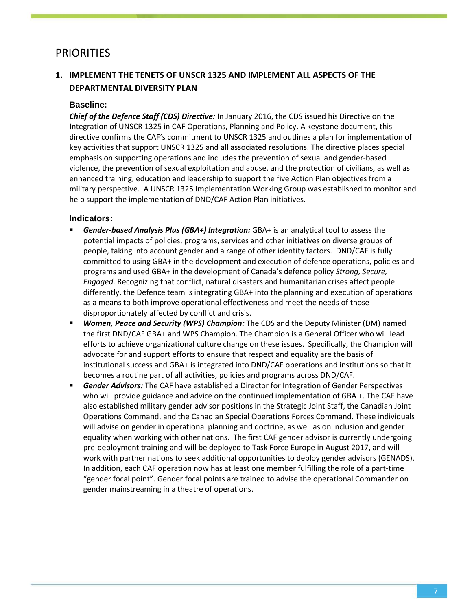### **PRIORITIES**

### **1. IMPLEMENT THE TENETS OF UNSCR 1325 AND IMPLEMENT ALL ASPECTS OF THE DEPARTMENTAL DIVERSITY PLAN**

#### **Baseline:**

*Chief of the Defence Staff (CDS) Directive:* In January 2016, the CDS issued his Directive on the Integration of UNSCR 1325 in CAF Operations, Planning and Policy. A keystone document, this directive confirms the CAF's commitment to UNSCR 1325 and outlines a plan for implementation of key activities that support UNSCR 1325 and all associated resolutions. The directive places special emphasis on supporting operations and includes the prevention of sexual and gender-based violence, the prevention of sexual exploitation and abuse, and the protection of civilians, as well as enhanced training, education and leadership to support the five Action Plan objectives from a military perspective. A UNSCR 1325 Implementation Working Group was established to monitor and help support the implementation of DND/CAF Action Plan initiatives.

- *Gender-based Analysis Plus (GBA+) Integration:* GBA+ is an analytical tool to assess the potential impacts of policies, programs, services and other initiatives on diverse groups of people, taking into account gender and a range of other identity factors. DND/CAF is fully committed to using GBA+ in the development and execution of defence operations, policies and programs and used GBA+ in the development of Canada's defence policy *Strong, Secure, Engaged*. Recognizing that conflict, natural disasters and humanitarian crises affect people differently, the Defence team is integrating GBA+ into the planning and execution of operations as a means to both improve operational effectiveness and meet the needs of those disproportionately affected by conflict and crisis.
- *Women, Peace and Security (WPS) Champion:* The CDS and the Deputy Minister (DM) named the first DND/CAF GBA+ and WPS Champion. The Champion is a General Officer who will lead efforts to achieve organizational culture change on these issues. Specifically, the Champion will advocate for and support efforts to ensure that respect and equality are the basis of institutional success and GBA+ is integrated into DND/CAF operations and institutions so that it becomes a routine part of all activities, policies and programs across DND/CAF.
- *Gender Advisors:* The CAF have established a Director for Integration of Gender Perspectives who will provide guidance and advice on the continued implementation of GBA +. The CAF have also established military gender advisor positions in the Strategic Joint Staff, the Canadian Joint Operations Command, and the Canadian Special Operations Forces Command. These individuals will advise on gender in operational planning and doctrine, as well as on inclusion and gender equality when working with other nations. The first CAF gender advisor is currently undergoing pre-deployment training and will be deployed to Task Force Europe in August 2017, and will work with partner nations to seek additional opportunities to deploy gender advisors (GENADS). In addition, each CAF operation now has at least one member fulfilling the role of a part-time "gender focal point". Gender focal points are trained to advise the operational Commander on gender mainstreaming in a theatre of operations.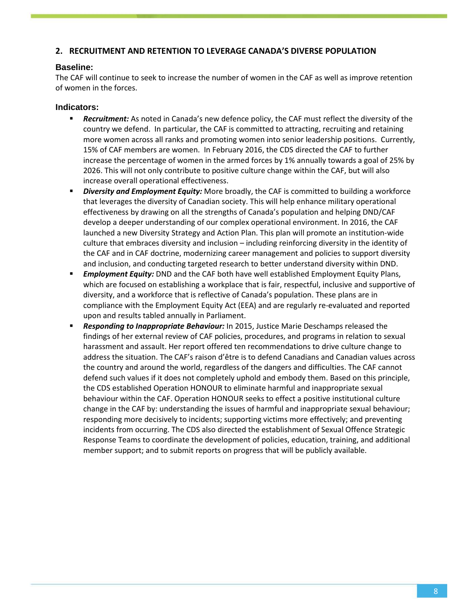#### **2. RECRUITMENT AND RETENTION TO LEVERAGE CANADA'S DIVERSE POPULATION**

#### **Baseline:**

The CAF will continue to seek to increase the number of women in the CAF as well as improve retention of women in the forces.

- *Recruitment:* As noted in Canada's new defence policy, the CAF must reflect the diversity of the country we defend. In particular, the CAF is committed to attracting, recruiting and retaining more women across all ranks and promoting women into senior leadership positions. Currently, 15% of CAF members are women. In February 2016, the CDS directed the CAF to further increase the percentage of women in the armed forces by 1% annually towards a goal of 25% by 2026. This will not only contribute to positive culture change within the CAF, but will also increase overall operational effectiveness.
- *Diversity and Employment Equity:* More broadly, the CAF is committed to building a workforce that leverages the diversity of Canadian society. This will help enhance military operational effectiveness by drawing on all the strengths of Canada's population and helping DND/CAF develop a deeper understanding of our complex operational environment. In 2016, the CAF launched a new Diversity Strategy and Action Plan. This plan will promote an institution-wide culture that embraces diversity and inclusion – including reinforcing diversity in the identity of the CAF and in CAF doctrine, modernizing career management and policies to support diversity and inclusion, and conducting targeted research to better understand diversity within DND.
- *Employment Equity:* DND and the CAF both have well established Employment Equity Plans, which are focused on establishing a workplace that is fair, respectful, inclusive and supportive of diversity, and a workforce that is reflective of Canada's population. These plans are in compliance with the Employment Equity Act (EEA) and are regularly re-evaluated and reported upon and results tabled annually in Parliament.
- *Responding to Inappropriate Behaviour:* In 2015, Justice Marie Deschamps released the findings of her external review of CAF policies, procedures, and programs in relation to sexual harassment and assault. Her report offered ten recommendations to drive culture change to address the situation. The CAF's raison d'être is to defend Canadians and Canadian values across the country and around the world, regardless of the dangers and difficulties. The CAF cannot defend such values if it does not completely uphold and embody them. Based on this principle, the CDS established Operation HONOUR to eliminate harmful and inappropriate sexual behaviour within the CAF. Operation HONOUR seeks to effect a positive institutional culture change in the CAF by: understanding the issues of harmful and inappropriate sexual behaviour; responding more decisively to incidents; supporting victims more effectively; and preventing incidents from occurring. The CDS also directed the establishment of Sexual Offence Strategic Response Teams to coordinate the development of policies, education, training, and additional member support; and to submit reports on progress that will be publicly available.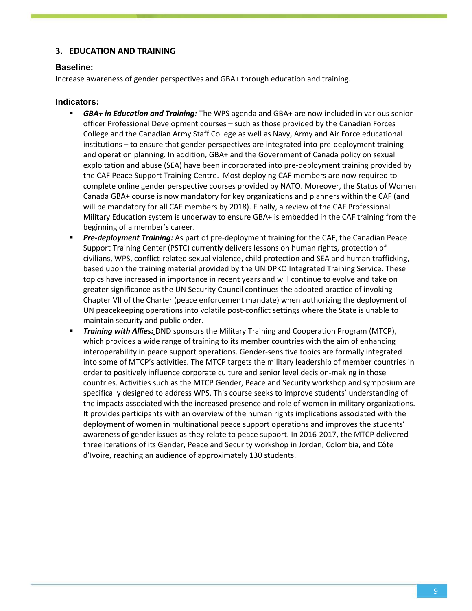#### **3. EDUCATION AND TRAINING**

#### **Baseline:**

Increase awareness of gender perspectives and GBA+ through education and training.

- *GBA+ in Education and Training:* The WPS agenda and GBA+ are now included in various senior officer Professional Development courses – such as those provided by the Canadian Forces College and the Canadian Army Staff College as well as Navy, Army and Air Force educational institutions – to ensure that gender perspectives are integrated into pre-deployment training and operation planning. In addition, GBA+ and the Government of Canada policy on sexual exploitation and abuse (SEA) have been incorporated into pre-deployment training provided by the CAF Peace Support Training Centre. Most deploying CAF members are now required to complete online gender perspective courses provided by NATO. Moreover, the Status of Women Canada GBA+ course is now mandatory for key organizations and planners within the CAF (and will be mandatory for all CAF members by 2018). Finally, a review of the CAF Professional Military Education system is underway to ensure GBA+ is embedded in the CAF training from the beginning of a member's career.
- *Pre-deployment Training:* As part of pre-deployment training for the CAF, the Canadian Peace Support Training Center (PSTC) currently delivers lessons on human rights, protection of civilians, WPS, conflict-related sexual violence, child protection and SEA and human trafficking, based upon the training material provided by the UN DPKO Integrated Training Service. These topics have increased in importance in recent years and will continue to evolve and take on greater significance as the UN Security Council continues the adopted practice of invoking Chapter VII of the Charter (peace enforcement mandate) when authorizing the deployment of UN peacekeeping operations into volatile post-conflict settings where the State is unable to maintain security and public order.
- *Training with Allies:* DND sponsors the Military Training and Cooperation Program (MTCP), which provides a wide range of training to its member countries with the aim of enhancing interoperability in peace support operations. Gender-sensitive topics are formally integrated into some of MTCP's activities. The MTCP targets the military leadership of member countries in order to positively influence corporate culture and senior level decision-making in those countries. Activities such as the MTCP Gender, Peace and Security workshop and symposium are specifically designed to address WPS. This course seeks to improve students' understanding of the impacts associated with the increased presence and role of women in military organizations. It provides participants with an overview of the human rights implications associated with the deployment of women in multinational peace support operations and improves the students' awareness of gender issues as they relate to peace support. In 2016-2017, the MTCP delivered three iterations of its Gender, Peace and Security workshop in Jordan, Colombia, and Côte d'Ivoire, reaching an audience of approximately 130 students.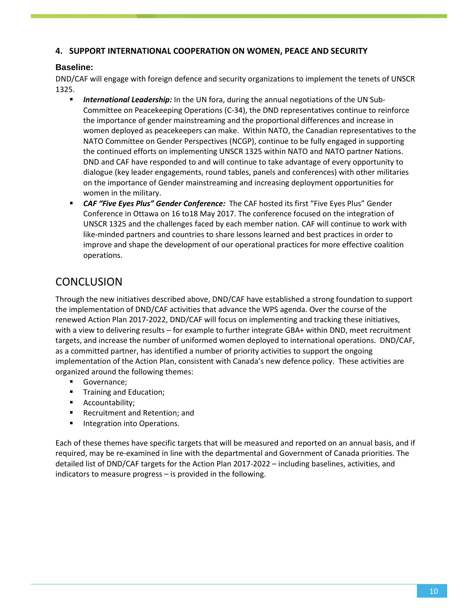#### **4. SUPPORT INTERNATIONAL COOPERATION ON WOMEN, PEACE AND SECURITY**

#### **Baseline:**

DND/CAF will engage with foreign defence and security organizations to implement the tenets of UNSCR 1325.

- *International Leadership:* In the UN fora, during the annual negotiations of the UN Sub-Committee on Peacekeeping Operations (C-34), the DND representatives continue to reinforce the importance of gender mainstreaming and the proportional differences and increase in women deployed as peacekeepers can make. Within NATO, the Canadian representatives to the NATO Committee on Gender Perspectives (NCGP), continue to be fully engaged in supporting the continued efforts on implementing UNSCR 1325 within NATO and NATO partner Nations. DND and CAF have responded to and will continue to take advantage of every opportunity to dialogue (key leader engagements, round tables, panels and conferences) with other militaries on the importance of Gender mainstreaming and increasing deployment opportunities for women in the military.
- *CAF "Five Eyes Plus" Gender Conference:* The CAF hosted its first "Five Eyes Plus" Gender Conference in Ottawa on 16 to18 May 2017. The conference focused on the integration of UNSCR 1325 and the challenges faced by each member nation. CAF will continue to work with like-minded partners and countries to share lessons learned and best practices in order to improve and shape the development of our operational practices for more effective coalition operations.

### **CONCLUSION**

Through the new initiatives described above, DND/CAF have established a strong foundation to support the implementation of DND/CAF activities that advance the WPS agenda. Over the course of the renewed Action Plan 2017-2022, DND/CAF will focus on implementing and tracking these initiatives, with a view to delivering results – for example to further integrate GBA+ within DND, meet recruitment targets, and increase the number of uniformed women deployed to international operations. DND/CAF, as a committed partner, has identified a number of priority activities to support the ongoing implementation of the Action Plan, consistent with Canada's new defence policy. These activities are organized around the following themes:

- Governance;
- **Training and Education;**
- **Accountability;**
- **Recruitment and Retention; and**
- **Integration into Operations.**

Each of these themes have specific targets that will be measured and reported on an annual basis, and if required, may be re-examined in line with the departmental and Government of Canada priorities. The detailed list of DND/CAF targets for the Action Plan 2017-2022 – including baselines, activities, and indicators to measure progress – is provided in the following.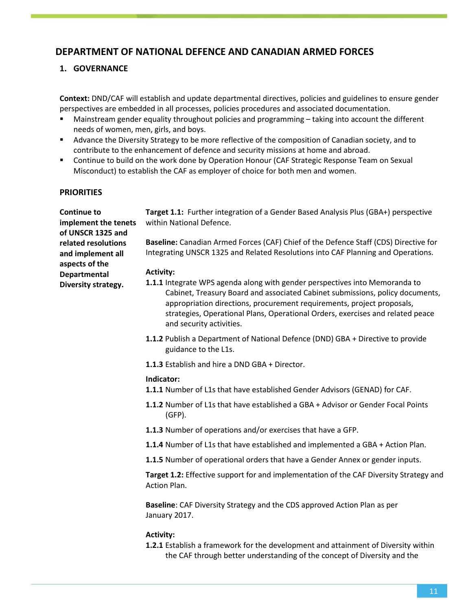### **DEPARTMENT OF NATIONAL DEFENCE AND CANADIAN ARMED FORCES**

#### **1. GOVERNANCE**

**Context:** DND/CAF will establish and update departmental directives, policies and guidelines to ensure gender perspectives are embedded in all processes, policies procedures and associated documentation.

- Mainstream gender equality throughout policies and programming taking into account the different needs of women, men, girls, and boys.
- Advance the Diversity Strategy to be more reflective of the composition of Canadian society, and to contribute to the enhancement of defence and security missions at home and abroad.
- **Continue to build on the work done by Operation Honour (CAF Strategic Response Team on Sexual** Misconduct) to establish the CAF as employer of choice for both men and women.

#### **PRIORITIES**

| <b>Continue to</b><br>implement the tenets<br>of UNSCR 1325 and | Target 1.1: Further integration of a Gender Based Analysis Plus (GBA+) perspective<br>within National Defence.                                                                                                                                                                                                                                       |
|-----------------------------------------------------------------|------------------------------------------------------------------------------------------------------------------------------------------------------------------------------------------------------------------------------------------------------------------------------------------------------------------------------------------------------|
| related resolutions<br>and implement all<br>aspects of the      | Baseline: Canadian Armed Forces (CAF) Chief of the Defence Staff (CDS) Directive for<br>Integrating UNSCR 1325 and Related Resolutions into CAF Planning and Operations.                                                                                                                                                                             |
| <b>Departmental</b>                                             | <b>Activity:</b>                                                                                                                                                                                                                                                                                                                                     |
| Diversity strategy.                                             | 1.1.1 Integrate WPS agenda along with gender perspectives into Memoranda to<br>Cabinet, Treasury Board and associated Cabinet submissions, policy documents,<br>appropriation directions, procurement requirements, project proposals,<br>strategies, Operational Plans, Operational Orders, exercises and related peace<br>and security activities. |
|                                                                 | 1.1.2 Publish a Department of National Defence (DND) GBA + Directive to provide<br>guidance to the L1s.                                                                                                                                                                                                                                              |
|                                                                 | 1.1.3 Establish and hire a DND GBA + Director.                                                                                                                                                                                                                                                                                                       |
|                                                                 | Indicator:                                                                                                                                                                                                                                                                                                                                           |
|                                                                 | 1.1.1 Number of L1s that have established Gender Advisors (GENAD) for CAF.                                                                                                                                                                                                                                                                           |
|                                                                 | 1.1.2 Number of L1s that have established a GBA + Advisor or Gender Focal Points<br>$(GFP)$ .                                                                                                                                                                                                                                                        |
|                                                                 | 1.1.3 Number of operations and/or exercises that have a GFP.                                                                                                                                                                                                                                                                                         |
|                                                                 | 1.1.4 Number of L1s that have established and implemented a GBA + Action Plan.                                                                                                                                                                                                                                                                       |
|                                                                 | 1.1.5 Number of operational orders that have a Gender Annex or gender inputs.                                                                                                                                                                                                                                                                        |
|                                                                 | Target 1.2: Effective support for and implementation of the CAF Diversity Strategy and<br><b>Action Plan.</b>                                                                                                                                                                                                                                        |
|                                                                 | Baseline: CAF Diversity Strategy and the CDS approved Action Plan as per<br>January 2017.                                                                                                                                                                                                                                                            |
|                                                                 | <b>Activity:</b>                                                                                                                                                                                                                                                                                                                                     |
|                                                                 | <b>1.2.1</b> Establish a framework for the development and attainment of Diversity within                                                                                                                                                                                                                                                            |

the CAF through better understanding of the concept of Diversity and the

11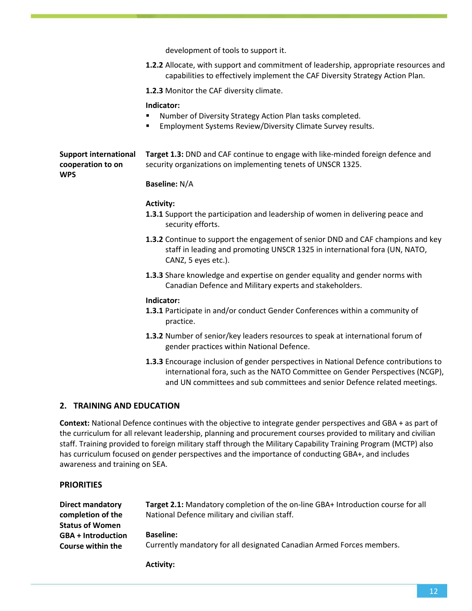|                                                                 | development of tools to support it.                                                                                                                                                                                                                 |
|-----------------------------------------------------------------|-----------------------------------------------------------------------------------------------------------------------------------------------------------------------------------------------------------------------------------------------------|
|                                                                 | 1.2.2 Allocate, with support and commitment of leadership, appropriate resources and<br>capabilities to effectively implement the CAF Diversity Strategy Action Plan.                                                                               |
|                                                                 | 1.2.3 Monitor the CAF diversity climate.                                                                                                                                                                                                            |
|                                                                 | Indicator:<br>Number of Diversity Strategy Action Plan tasks completed.<br>Employment Systems Review/Diversity Climate Survey results.                                                                                                              |
| <b>Support international</b><br>cooperation to on<br><b>WPS</b> | Target 1.3: DND and CAF continue to engage with like-minded foreign defence and<br>security organizations on implementing tenets of UNSCR 1325.                                                                                                     |
|                                                                 | <b>Baseline: N/A</b>                                                                                                                                                                                                                                |
|                                                                 | <b>Activity:</b><br>1.3.1 Support the participation and leadership of women in delivering peace and<br>security efforts.                                                                                                                            |
|                                                                 | 1.3.2 Continue to support the engagement of senior DND and CAF champions and key<br>staff in leading and promoting UNSCR 1325 in international fora (UN, NATO,<br>CANZ, 5 eyes etc.).                                                               |
|                                                                 | 1.3.3 Share knowledge and expertise on gender equality and gender norms with<br>Canadian Defence and Military experts and stakeholders.                                                                                                             |
|                                                                 | Indicator:<br>1.3.1 Participate in and/or conduct Gender Conferences within a community of<br>practice.                                                                                                                                             |
|                                                                 | 1.3.2 Number of senior/key leaders resources to speak at international forum of<br>gender practices within National Defence.                                                                                                                        |
|                                                                 | 1.3.3 Encourage inclusion of gender perspectives in National Defence contributions to<br>international fora, such as the NATO Committee on Gender Perspectives (NCGP),<br>and UN committees and sub committees and senior Defence related meetings. |
| 2. TRAINING AND EDUCATION                                       |                                                                                                                                                                                                                                                     |

**Context:** National Defence continues with the objective to integrate gender perspectives and GBA + as part of the curriculum for all relevant leadership, planning and procurement courses provided to military and civilian staff. Training provided to foreign military staff through the Military Capability Training Program (MCTP) also has curriculum focused on gender perspectives and the importance of conducting GBA+, and includes awareness and training on SEA.

#### **PRIORITIES**

| Direct mandatory          | Target 2.1: Mandatory completion of the on-line GBA+ Introduction course for all |
|---------------------------|----------------------------------------------------------------------------------|
| completion of the         | National Defence military and civilian staff.                                    |
| <b>Status of Women</b>    |                                                                                  |
| <b>GBA + Introduction</b> | <b>Baseline:</b>                                                                 |
| Course within the         | Currently mandatory for all designated Canadian Armed Forces members.            |

**Activity:**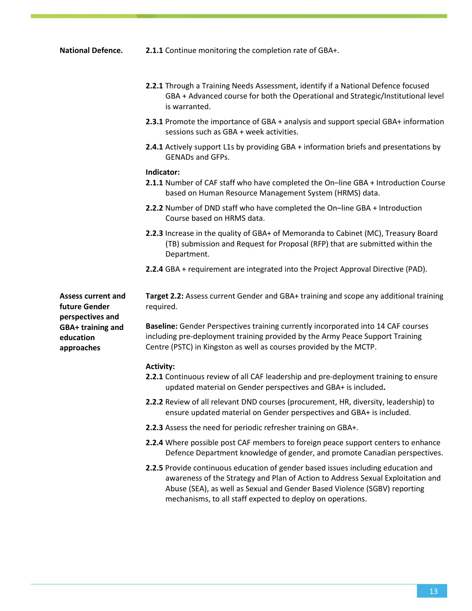- **National Defence. 2.1.1** Continue monitoring the completion rate of GBA+.
	- **2.2.1** Through a Training Needs Assessment, identify if a National Defence focused GBA + Advanced course for both the Operational and Strategic/Institutional level is warranted.
	- **2.3.1** Promote the importance of GBA + analysis and support special GBA+ information sessions such as GBA + week activities.
	- **2.4.1** Actively support L1s by providing GBA + information briefs and presentations by GENADs and GFPs.

#### **Indicator:**

- **2.1.1** Number of CAF staff who have completed the On–line GBA + Introduction Course based on Human Resource Management System (HRMS) data.
- **2.2.2** Number of DND staff who have completed the On–line GBA + Introduction Course based on HRMS data.
- **2.2.3** Increase in the quality of GBA+ of Memoranda to Cabinet (MC), Treasury Board (TB) submission and Request for Proposal (RFP) that are submitted within the Department.
- **2.2.4** GBA + requirement are integrated into the Project Approval Directive (PAD).

**Assess current and future Gender perspectives and GBA+ training and education approaches**

**Target 2.2:** Assess current Gender and GBA+ training and scope any additional training required.

**Baseline:** Gender Perspectives training currently incorporated into 14 CAF courses including pre-deployment training provided by the Army Peace Support Training Centre (PSTC) in Kingston as well as courses provided by the MCTP.

#### **Activity:**

- **2.2.1** Continuous review of all CAF leadership and pre-deployment training to ensure updated material on Gender perspectives and GBA+ is included**.**
- **2.2.2** Review of all relevant DND courses (procurement, HR, diversity, leadership) to ensure updated material on Gender perspectives and GBA+ is included.
- **2.2.3** Assess the need for periodic refresher training on GBA+.
- **2.2.4** Where possible post CAF members to foreign peace support centers to enhance Defence Department knowledge of gender, and promote Canadian perspectives.
- **2.2.5** Provide continuous education of gender based issues including education and awareness of the Strategy and Plan of Action to Address Sexual Exploitation and Abuse (SEA), as well as Sexual and Gender Based Violence (SGBV) reporting mechanisms, to all staff expected to deploy on operations.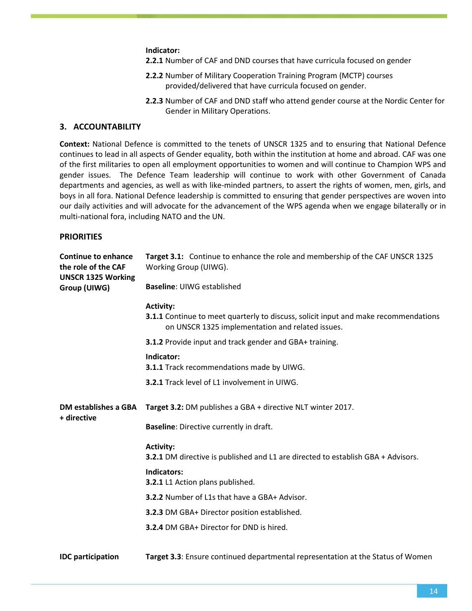**Indicator:**

**2.2.1** Number of CAF and DND courses that have curricula focused on gender

- **2.2.2** Number of Military Cooperation Training Program (MCTP) courses provided/delivered that have curricula focused on gender.
- **2.2.3** Number of CAF and DND staff who attend gender course at the Nordic Center for Gender in Military Operations.

#### **3. ACCOUNTABILITY**

**Context:** National Defence is committed to the tenets of UNSCR 1325 and to ensuring that National Defence continues to lead in all aspects of Gender equality, both within the institution at home and abroad. CAF was one of the first militaries to open all employment opportunities to women and will continue to Champion WPS and gender issues. The Defence Team leadership will continue to work with other Government of Canada departments and agencies, as well as with like-minded partners, to assert the rights of women, men, girls, and boys in all fora. National Defence leadership is committed to ensuring that gender perspectives are woven into our daily activities and will advocate for the advancement of the WPS agenda when we engage bilaterally or in multi-national fora, including NATO and the UN.

#### **PRIORITIES**

| <b>Continue to enhance</b><br>the role of the CAF<br><b>UNSCR 1325 Working</b> | Target 3.1: Continue to enhance the role and membership of the CAF UNSCR 1325<br>Working Group (UIWG).                                                             |
|--------------------------------------------------------------------------------|--------------------------------------------------------------------------------------------------------------------------------------------------------------------|
| Group (UIWG)                                                                   | <b>Baseline: UIWG established</b>                                                                                                                                  |
|                                                                                | <b>Activity:</b><br><b>3.1.1</b> Continue to meet quarterly to discuss, solicit input and make recommendations<br>on UNSCR 1325 implementation and related issues. |
|                                                                                | 3.1.2 Provide input and track gender and GBA+ training.                                                                                                            |
|                                                                                | Indicator:<br>3.1.1 Track recommendations made by UIWG.                                                                                                            |
|                                                                                | 3.2.1 Track level of L1 involvement in UIWG.                                                                                                                       |
| <b>DM establishes a GBA</b><br>+ directive                                     | Target 3.2: DM publishes a GBA + directive NLT winter 2017.                                                                                                        |
|                                                                                | <b>Baseline:</b> Directive currently in draft.                                                                                                                     |
|                                                                                | <b>Activity:</b><br>3.2.1 DM directive is published and L1 are directed to establish GBA + Advisors.                                                               |
|                                                                                | <b>Indicators:</b><br>3.2.1 L1 Action plans published.                                                                                                             |
|                                                                                | 3.2.2 Number of L1s that have a GBA+ Advisor.                                                                                                                      |
|                                                                                | 3.2.3 DM GBA+ Director position established.                                                                                                                       |
|                                                                                | 3.2.4 DM GBA+ Director for DND is hired.                                                                                                                           |
| <b>IDC</b> participation                                                       | Target 3.3: Ensure continued departmental representation at the Status of Women                                                                                    |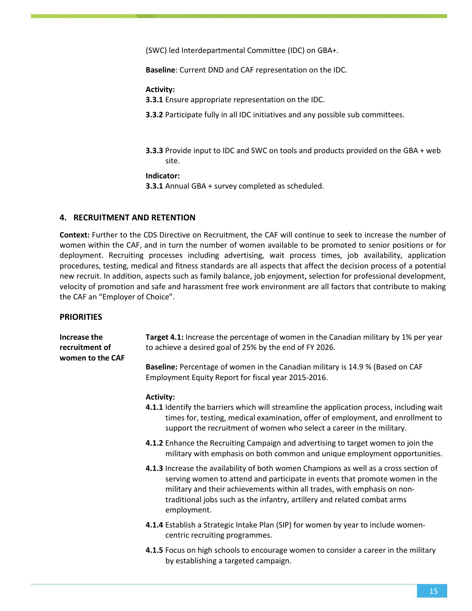(SWC) led Interdepartmental Committee (IDC) on GBA+.

**Baseline**: Current DND and CAF representation on the IDC.

**Activity:**

**3.3.1** Ensure appropriate representation on the IDC.

**3.3.2** Participate fully in all IDC initiatives and any possible sub committees.

**3.3.3** Provide input to IDC and SWC on tools and products provided on the GBA + web site.

**Indicator:**

**3.3.1** Annual GBA + survey completed as scheduled.

#### **4. RECRUITMENT AND RETENTION**

**Context:** Further to the CDS Directive on Recruitment, the CAF will continue to seek to increase the number of women within the CAF, and in turn the number of women available to be promoted to senior positions or for deployment. Recruiting processes including advertising, wait process times, job availability, application procedures, testing, medical and fitness standards are all aspects that affect the decision process of a potential new recruit. In addition, aspects such as family balance, job enjoyment, selection for professional development, velocity of promotion and safe and harassment free work environment are all factors that contribute to making the CAF an "Employer of Choice".

#### **PRIORITIES**

| Increase the<br>recruitment of<br>women to the CAF | Target 4.1: Increase the percentage of women in the Canadian military by 1% per year<br>to achieve a desired goal of 25% by the end of FY 2026.                                                                                                                                                                                             |
|----------------------------------------------------|---------------------------------------------------------------------------------------------------------------------------------------------------------------------------------------------------------------------------------------------------------------------------------------------------------------------------------------------|
|                                                    | Baseline: Percentage of women in the Canadian military is 14.9 % (Based on CAF<br>Employment Equity Report for fiscal year 2015-2016.                                                                                                                                                                                                       |
|                                                    | <b>Activity:</b><br>4.1.1 Identify the barriers which will streamline the application process, including wait<br>times for, testing, medical examination, offer of employment, and enrollment to                                                                                                                                            |
|                                                    | support the recruitment of women who select a career in the military.                                                                                                                                                                                                                                                                       |
|                                                    | 4.1.2 Enhance the Recruiting Campaign and advertising to target women to join the<br>military with emphasis on both common and unique employment opportunities.                                                                                                                                                                             |
|                                                    | 4.1.3 Increase the availability of both women Champions as well as a cross section of<br>serving women to attend and participate in events that promote women in the<br>military and their achievements within all trades, with emphasis on non-<br>traditional jobs such as the infantry, artillery and related combat arms<br>employment. |
|                                                    | 4.1.4 Establish a Strategic Intake Plan (SIP) for women by year to include women-<br>centric recruiting programmes.                                                                                                                                                                                                                         |
|                                                    | 4.1.5 Focus on high schools to encourage women to consider a career in the military<br>by establishing a targeted campaign.                                                                                                                                                                                                                 |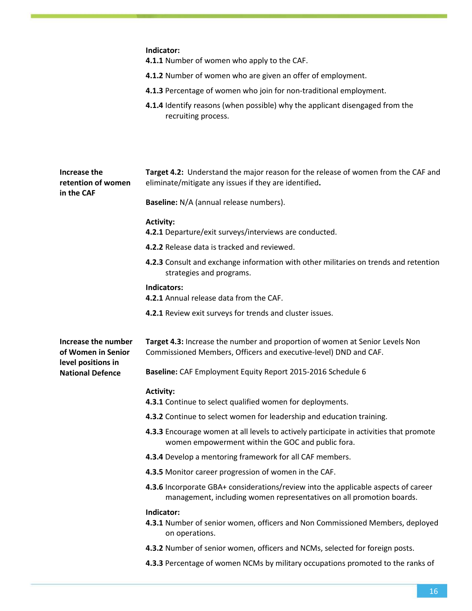|                                                                 | Indicator:<br>4.1.1 Number of women who apply to the CAF.                                                                                                  |
|-----------------------------------------------------------------|------------------------------------------------------------------------------------------------------------------------------------------------------------|
|                                                                 | 4.1.2 Number of women who are given an offer of employment.                                                                                                |
|                                                                 | 4.1.3 Percentage of women who join for non-traditional employment.                                                                                         |
|                                                                 | 4.1.4 Identify reasons (when possible) why the applicant disengaged from the<br>recruiting process.                                                        |
| Increase the<br>retention of women<br>in the CAF                | Target 4.2: Understand the major reason for the release of women from the CAF and<br>eliminate/mitigate any issues if they are identified.                 |
|                                                                 | Baseline: N/A (annual release numbers).                                                                                                                    |
|                                                                 | <b>Activity:</b><br>4.2.1 Departure/exit surveys/interviews are conducted.                                                                                 |
|                                                                 | 4.2.2 Release data is tracked and reviewed.                                                                                                                |
|                                                                 | 4.2.3 Consult and exchange information with other militaries on trends and retention<br>strategies and programs.                                           |
|                                                                 | Indicators:<br>4.2.1 Annual release data from the CAF.                                                                                                     |
|                                                                 | 4.2.1 Review exit surveys for trends and cluster issues.                                                                                                   |
| Increase the number<br>of Women in Senior<br>level positions in | Target 4.3: Increase the number and proportion of women at Senior Levels Non<br>Commissioned Members, Officers and executive-level) DND and CAF.           |
| <b>National Defence</b>                                         | Baseline: CAF Employment Equity Report 2015-2016 Schedule 6                                                                                                |
|                                                                 | <b>Activity:</b><br>4.3.1 Continue to select qualified women for deployments.                                                                              |
|                                                                 | 4.3.2 Continue to select women for leadership and education training.                                                                                      |
|                                                                 | 4.3.3 Encourage women at all levels to actively participate in activities that promote<br>women empowerment within the GOC and public fora.                |
|                                                                 | 4.3.4 Develop a mentoring framework for all CAF members.                                                                                                   |
|                                                                 | 4.3.5 Monitor career progression of women in the CAF.                                                                                                      |
|                                                                 | 4.3.6 Incorporate GBA+ considerations/review into the applicable aspects of career<br>management, including women representatives on all promotion boards. |
|                                                                 | Indicator:<br>4.3.1 Number of senior women, officers and Non Commissioned Members, deployed<br>on operations.                                              |
|                                                                 | 4.3.2 Number of senior women, officers and NCMs, selected for foreign posts.                                                                               |
|                                                                 | 4.3.3 Percentage of women NCMs by military occupations promoted to the ranks of                                                                            |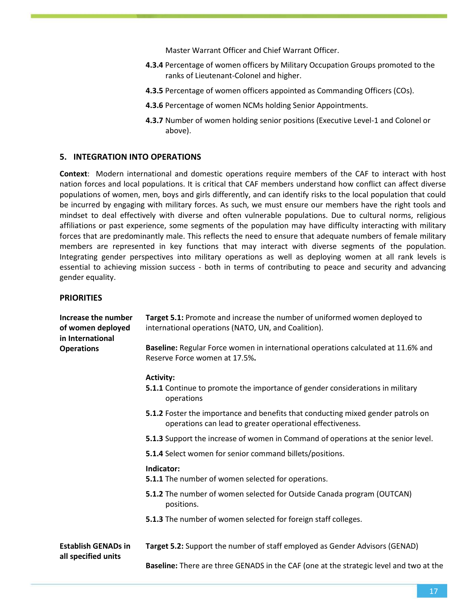Master Warrant Officer and Chief Warrant Officer.

- **4.3.4** Percentage of women officers by Military Occupation Groups promoted to the ranks of Lieutenant-Colonel and higher.
- **4.3.5** Percentage of women officers appointed as Commanding Officers (COs).
- **4.3.6** Percentage of women NCMs holding Senior Appointments.
- **4.3.7** Number of women holding senior positions (Executive Level-1 and Colonel or above).

#### **5. INTEGRATION INTO OPERATIONS**

**Context**: Modern international and domestic operations require members of the CAF to interact with host nation forces and local populations. It is critical that CAF members understand how conflict can affect diverse populations of women, men, boys and girls differently, and can identify risks to the local population that could be incurred by engaging with military forces. As such, we must ensure our members have the right tools and mindset to deal effectively with diverse and often vulnerable populations. Due to cultural norms, religious affiliations or past experience, some segments of the population may have difficulty interacting with military forces that are predominantly male. This reflects the need to ensure that adequate numbers of female military members are represented in key functions that may interact with diverse segments of the population. Integrating gender perspectives into military operations as well as deploying women at all rank levels is essential to achieving mission success - both in terms of contributing to peace and security and advancing gender equality.

#### **PRIORITIES**

| Increase the number<br>of women deployed<br>in International | Target 5.1: Promote and increase the number of uniformed women deployed to<br>international operations (NATO, UN, and Coalition).             |
|--------------------------------------------------------------|-----------------------------------------------------------------------------------------------------------------------------------------------|
| <b>Operations</b>                                            | Baseline: Regular Force women in international operations calculated at 11.6% and<br>Reserve Force women at 17.5%.                            |
|                                                              | <b>Activity:</b>                                                                                                                              |
|                                                              | 5.1.1 Continue to promote the importance of gender considerations in military<br>operations                                                   |
|                                                              | 5.1.2 Foster the importance and benefits that conducting mixed gender patrols on<br>operations can lead to greater operational effectiveness. |
|                                                              | <b>5.1.3</b> Support the increase of women in Command of operations at the senior level.                                                      |
|                                                              | 5.1.4 Select women for senior command billets/positions.                                                                                      |
|                                                              | Indicator:<br><b>5.1.1</b> The number of women selected for operations.                                                                       |
|                                                              | 5.1.2 The number of women selected for Outside Canada program (OUTCAN)<br>positions.                                                          |
|                                                              | 5.1.3 The number of women selected for foreign staff colleges.                                                                                |
| <b>Establish GENADs in</b><br>all specified units            | Target 5.2: Support the number of staff employed as Gender Advisors (GENAD)                                                                   |
|                                                              | Baseline: There are three GENADS in the CAF (one at the strategic level and two at the                                                        |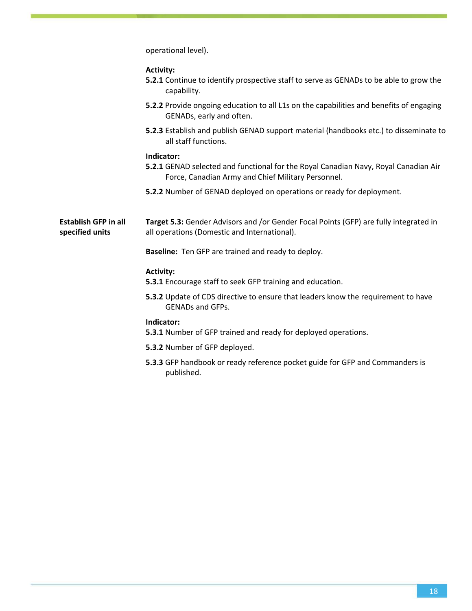operational level).

| <b>Activity:</b>                                                                              |
|-----------------------------------------------------------------------------------------------|
| <b>5.2.1</b> Continue to identify prospective staff to serve as GENADs to be able to grow the |
| capability.                                                                                   |
| 5.2.2 Provide ongoing education to all L1s on the capabilities and benefits of engaging       |

GENADs, early and often. **5.2.3** Establish and publish GENAD support material (handbooks etc.) to disseminate to all staff functions.

#### **Indicator:**

- **5.2.1** GENAD selected and functional for the Royal Canadian Navy, Royal Canadian Air Force, Canadian Army and Chief Military Personnel.
- **5.2.2** Number of GENAD deployed on operations or ready for deployment.

**Establish GFP in all specified units Target 5.3:** Gender Advisors and /or Gender Focal Points (GFP) are fully integrated in all operations (Domestic and International).

**Baseline:** Ten GFP are trained and ready to deploy.

#### **Activity:**

**5.3.1** Encourage staff to seek GFP training and education.

**5.3.2** Update of CDS directive to ensure that leaders know the requirement to have GENADs and GFPs.

- **5.3.1** Number of GFP trained and ready for deployed operations.
- **5.3.2** Number of GFP deployed.
- **5.3.3** GFP handbook or ready reference pocket guide for GFP and Commanders is published.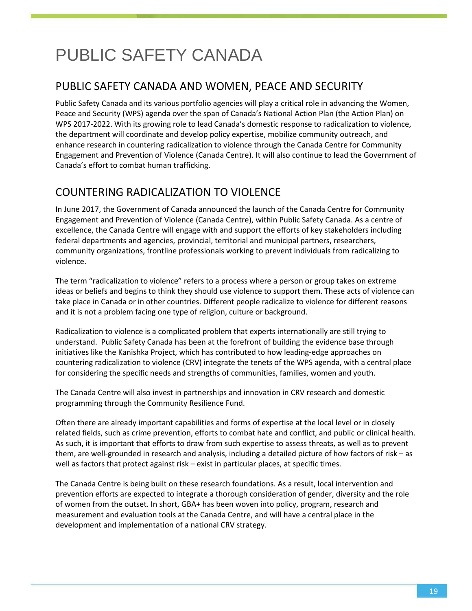# <span id="page-19-0"></span>PUBLIC SAFETY CANADA

### PUBLIC SAFETY CANADA AND WOMEN, PEACE AND SECURITY

Public Safety Canada and its various portfolio agencies will play a critical role in advancing the Women, Peace and Security (WPS) agenda over the span of Canada's National Action Plan (the Action Plan) on WPS 2017-2022. With its growing role to lead Canada's domestic response to radicalization to violence, the department will coordinate and develop policy expertise, mobilize community outreach, and enhance research in countering radicalization to violence through the Canada Centre for Community Engagement and Prevention of Violence (Canada Centre). It will also continue to lead the Government of Canada's effort to combat human trafficking.

## COUNTERING RADICALIZATION TO VIOLENCE

In June 2017, the Government of Canada announced the launch of the Canada Centre for Community Engagement and Prevention of Violence (Canada Centre), within Public Safety Canada. As a centre of excellence, the Canada Centre will engage with and support the efforts of key stakeholders including federal departments and agencies, provincial, territorial and municipal partners, researchers, community organizations, frontline professionals working to prevent individuals from radicalizing to violence.

The term "radicalization to violence" refers to a process where a person or group takes on extreme ideas or beliefs and begins to think they should use violence to support them. These acts of violence can take place in Canada or in other countries. Different people radicalize to violence for different reasons and it is not a problem facing one type of religion, culture or background.

Radicalization to violence is a complicated problem that experts internationally are still trying to understand. Public Safety Canada has been at the forefront of building the evidence base through initiatives like the Kanishka Project, which has contributed to how leading-edge approaches on countering radicalization to violence (CRV) integrate the tenets of the WPS agenda, with a central place for considering the specific needs and strengths of communities, families, women and youth.

The Canada Centre will also invest in partnerships and innovation in CRV research and domestic programming through the Community Resilience Fund.

Often there are already important capabilities and forms of expertise at the local level or in closely related fields, such as crime prevention, efforts to combat hate and conflict, and public or clinical health. As such, it is important that efforts to draw from such expertise to assess threats, as well as to prevent them, are well-grounded in research and analysis, including a detailed picture of how factors of risk – as well as factors that protect against risk – exist in particular places, at specific times.

The Canada Centre is being built on these research foundations. As a result, local intervention and prevention efforts are expected to integrate a thorough consideration of gender, diversity and the role of women from the outset. In short, GBA+ has been woven into policy, program, research and measurement and evaluation tools at the Canada Centre, and will have a central place in the development and implementation of a national CRV strategy.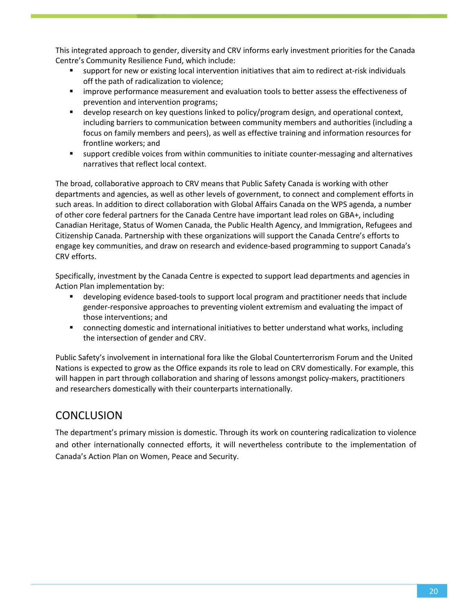This integrated approach to gender, diversity and CRV informs early investment priorities for the Canada Centre's Community Resilience Fund, which include:

- support for new or existing local intervention initiatives that aim to redirect at-risk individuals off the path of radicalization to violence;
- improve performance measurement and evaluation tools to better assess the effectiveness of prevention and intervention programs;
- **EXECT** develop research on key questions linked to policy/program design, and operational context, including barriers to communication between community members and authorities (including a focus on family members and peers), as well as effective training and information resources for frontline workers; and
- support credible voices from within communities to initiate counter-messaging and alternatives narratives that reflect local context.

The broad, collaborative approach to CRV means that Public Safety Canada is working with other departments and agencies, as well as other levels of government, to connect and complement efforts in such areas. In addition to direct collaboration with Global Affairs Canada on the WPS agenda, a number of other core federal partners for the Canada Centre have important lead roles on GBA+, including Canadian Heritage, Status of Women Canada, the Public Health Agency, and Immigration, Refugees and Citizenship Canada. Partnership with these organizations will support the Canada Centre's efforts to engage key communities, and draw on research and evidence-based programming to support Canada's CRV efforts.

Specifically, investment by the Canada Centre is expected to support lead departments and agencies in Action Plan implementation by:

- **EX a** developing evidence based-tools to support local program and practitioner needs that include gender-responsive approaches to preventing violent extremism and evaluating the impact of those interventions; and
- connecting domestic and international initiatives to better understand what works, including the intersection of gender and CRV.

Public Safety's involvement in international fora like the Global Counterterrorism Forum and the United Nations is expected to grow as the Office expands its role to lead on CRV domestically. For example, this will happen in part through collaboration and sharing of lessons amongst policy-makers, practitioners and researchers domestically with their counterparts internationally.

### **CONCLUSION**

The department's primary mission is domestic. Through its work on countering radicalization to violence and other internationally connected efforts, it will nevertheless contribute to the implementation of Canada's Action Plan on Women, Peace and Security.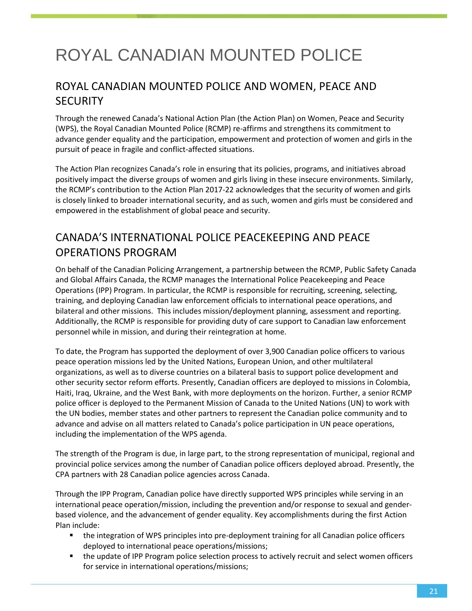# <span id="page-21-0"></span>ROYAL CANADIAN MOUNTED POLICE

## ROYAL CANADIAN MOUNTED POLICE AND WOMEN, PEACE AND **SECURITY**

Through the renewed Canada's National Action Plan (the Action Plan) on Women, Peace and Security (WPS), the Royal Canadian Mounted Police (RCMP) re-affirms and strengthens its commitment to advance gender equality and the participation, empowerment and protection of women and girls in the pursuit of peace in fragile and conflict-affected situations.

The Action Plan recognizes Canada's role in ensuring that its policies, programs, and initiatives abroad positively impact the diverse groups of women and girls living in these insecure environments. Similarly, the RCMP's contribution to the Action Plan 2017-22 acknowledges that the security of women and girls is closely linked to broader international security, and as such, women and girls must be considered and empowered in the establishment of global peace and security.

# CANADA'S INTERNATIONAL POLICE PEACEKEEPING AND PEACE OPERATIONS PROGRAM

On behalf of the Canadian Policing Arrangement, a partnership between the RCMP, Public Safety Canada and Global Affairs Canada, the RCMP manages the International Police Peacekeeping and Peace Operations (IPP) Program. In particular, the RCMP is responsible for recruiting, screening, selecting, training, and deploying Canadian law enforcement officials to international peace operations, and bilateral and other missions. This includes mission/deployment planning, assessment and reporting. Additionally, the RCMP is responsible for providing duty of care support to Canadian law enforcement personnel while in mission, and during their reintegration at home.

To date, the Program has supported the deployment of over 3,900 Canadian police officers to various peace operation missions led by the United Nations, European Union, and other multilateral organizations, as well as to diverse countries on a bilateral basis to support police development and other security sector reform efforts. Presently, Canadian officers are deployed to missions in Colombia, Haiti, Iraq, Ukraine, and the West Bank, with more deployments on the horizon. Further, a senior RCMP police officer is deployed to the Permanent Mission of Canada to the United Nations (UN) to work with the UN bodies, member states and other partners to represent the Canadian police community and to advance and advise on all matters related to Canada's police participation in UN peace operations, including the implementation of the WPS agenda.

The strength of the Program is due, in large part, to the strong representation of municipal, regional and provincial police services among the number of Canadian police officers deployed abroad. Presently, the CPA partners with 28 Canadian police agencies across Canada.

Through the IPP Program, Canadian police have directly supported WPS principles while serving in an international peace operation/mission, including the prevention and/or response to sexual and genderbased violence, and the advancement of gender equality. Key accomplishments during the first Action Plan include:

- the integration of WPS principles into pre-deployment training for all Canadian police officers deployed to international peace operations/missions;
- **the update of IPP Program police selection process to actively recruit and select women officers** for service in international operations/missions;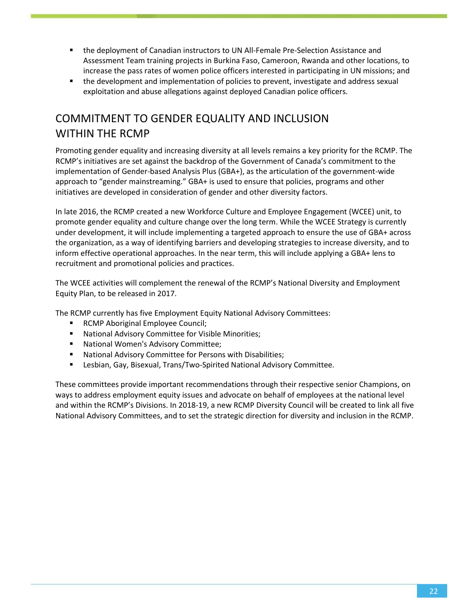- the deployment of Canadian instructors to UN All-Female Pre-Selection Assistance and Assessment Team training projects in Burkina Faso, Cameroon, Rwanda and other locations, to increase the pass rates of women police officers interested in participating in UN missions; and
- the development and implementation of policies to prevent, investigate and address sexual exploitation and abuse allegations against deployed Canadian police officers.

# COMMITMENT TO GENDER EQUALITY AND INCLUSION WITHIN THE RCMP

Promoting gender equality and increasing diversity at all levels remains a key priority for the RCMP. The RCMP's initiatives are set against the backdrop of the Government of Canada's commitment to the implementation of Gender-based Analysis Plus (GBA+), as the articulation of the government-wide approach to "gender mainstreaming." GBA+ is used to ensure that policies, programs and other initiatives are developed in consideration of gender and other diversity factors.

In late 2016, the RCMP created a new Workforce Culture and Employee Engagement (WCEE) unit, to promote gender equality and culture change over the long term. While the WCEE Strategy is currently under development, it will include implementing a targeted approach to ensure the use of GBA+ across the organization, as a way of identifying barriers and developing strategies to increase diversity, and to inform effective operational approaches. In the near term, this will include applying a GBA+ lens to recruitment and promotional policies and practices.

The WCEE activities will complement the renewal of the RCMP's National Diversity and Employment Equity Plan, to be released in 2017.

The RCMP currently has five Employment Equity National Advisory Committees:

- **RCMP Aboriginal Employee Council;**
- National Advisory Committee for Visible Minorities;
- National Women's Advisory Committee;
- National Advisory Committee for Persons with Disabilities;
- Lesbian, Gay, Bisexual, Trans/Two-Spirited National Advisory Committee.

These committees provide important recommendations through their respective senior Champions, on ways to address employment equity issues and advocate on behalf of employees at the national level and within the RCMP's Divisions. In 2018-19, a new RCMP Diversity Council will be created to link all five National Advisory Committees, and to set the strategic direction for diversity and inclusion in the RCMP.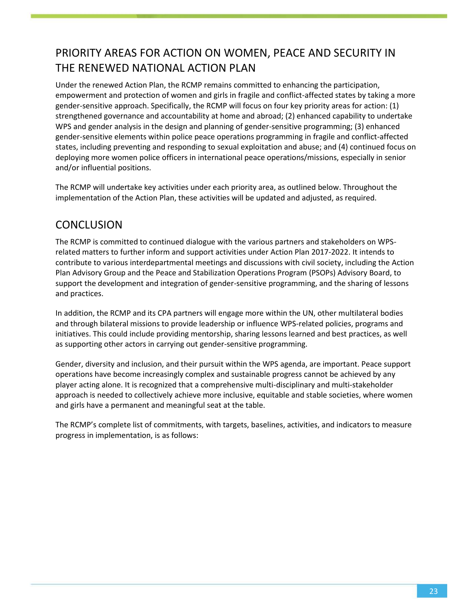# PRIORITY AREAS FOR ACTION ON WOMEN, PEACE AND SECURITY IN THE RENEWED NATIONAL ACTION PLAN

Under the renewed Action Plan, the RCMP remains committed to enhancing the participation, empowerment and protection of women and girls in fragile and conflict-affected states by taking a more gender-sensitive approach. Specifically, the RCMP will focus on four key priority areas for action: (1) strengthened governance and accountability at home and abroad; (2) enhanced capability to undertake WPS and gender analysis in the design and planning of gender-sensitive programming; (3) enhanced gender-sensitive elements within police peace operations programming in fragile and conflict-affected states, including preventing and responding to sexual exploitation and abuse; and (4) continued focus on deploying more women police officers in international peace operations/missions, especially in senior and/or influential positions.

The RCMP will undertake key activities under each priority area, as outlined below. Throughout the implementation of the Action Plan, these activities will be updated and adjusted, as required.

### **CONCLUSION**

The RCMP is committed to continued dialogue with the various partners and stakeholders on WPSrelated matters to further inform and support activities under Action Plan 2017-2022. It intends to contribute to various interdepartmental meetings and discussions with civil society, including the Action Plan Advisory Group and the Peace and Stabilization Operations Program (PSOPs) Advisory Board, to support the development and integration of gender-sensitive programming, and the sharing of lessons and practices.

In addition, the RCMP and its CPA partners will engage more within the UN, other multilateral bodies and through bilateral missions to provide leadership or influence WPS-related policies, programs and initiatives. This could include providing mentorship, sharing lessons learned and best practices, as well as supporting other actors in carrying out gender-sensitive programming.

Gender, diversity and inclusion, and their pursuit within the WPS agenda, are important. Peace support operations have become increasingly complex and sustainable progress cannot be achieved by any player acting alone. It is recognized that a comprehensive multi-disciplinary and multi-stakeholder approach is needed to collectively achieve more inclusive, equitable and stable societies, where women and girls have a permanent and meaningful seat at the table.

The RCMP's complete list of commitments, with targets, baselines, activities, and indicators to measure progress in implementation, is as follows: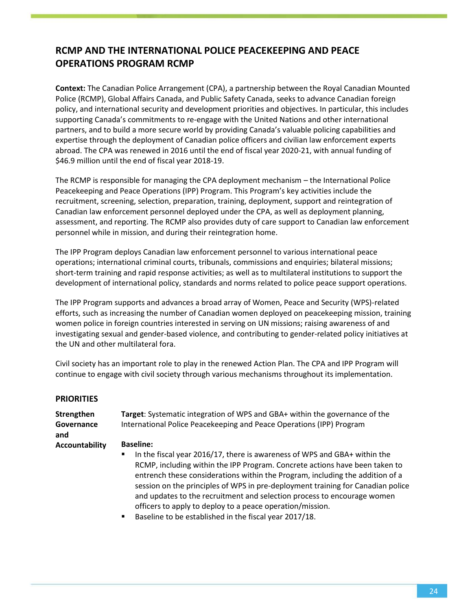### **RCMP AND THE INTERNATIONAL POLICE PEACEKEEPING AND PEACE OPERATIONS PROGRAM RCMP**

**Context:** The Canadian Police Arrangement (CPA), a partnership between the Royal Canadian Mounted Police (RCMP), Global Affairs Canada, and Public Safety Canada, seeks to advance Canadian foreign policy, and international security and development priorities and objectives. In particular, this includes supporting Canada's commitments to re-engage with the United Nations and other international partners, and to build a more secure world by providing Canada's valuable policing capabilities and expertise through the deployment of Canadian police officers and civilian law enforcement experts abroad. The CPA was renewed in 2016 until the end of fiscal year 2020-21, with annual funding of \$46.9 million until the end of fiscal year 2018-19.

The RCMP is responsible for managing the CPA deployment mechanism – the International Police Peacekeeping and Peace Operations (IPP) Program. This Program's key activities include the recruitment, screening, selection, preparation, training, deployment, support and reintegration of Canadian law enforcement personnel deployed under the CPA, as well as deployment planning, assessment, and reporting. The RCMP also provides duty of care support to Canadian law enforcement personnel while in mission, and during their reintegration home.

The IPP Program deploys Canadian law enforcement personnel to various international peace operations; international criminal courts, tribunals, commissions and enquiries; bilateral missions; short-term training and rapid response activities; as well as to multilateral institutions to support the development of international policy, standards and norms related to police peace support operations.

The IPP Program supports and advances a broad array of Women, Peace and Security (WPS)-related efforts, such as increasing the number of Canadian women deployed on peacekeeping mission, training women police in foreign countries interested in serving on UN missions; raising awareness of and investigating sexual and gender-based violence, and contributing to gender-related policy initiatives at the UN and other multilateral fora.

Civil society has an important role to play in the renewed Action Plan. The CPA and IPP Program will continue to engage with civil society through various mechanisms throughout its implementation.

| <b>PRIORITIES</b>               |                                                                                                                                                                                                                                                                                                                                                                                                                                                                                               |
|---------------------------------|-----------------------------------------------------------------------------------------------------------------------------------------------------------------------------------------------------------------------------------------------------------------------------------------------------------------------------------------------------------------------------------------------------------------------------------------------------------------------------------------------|
| Strengthen<br>Governance<br>and | Target: Systematic integration of WPS and GBA+ within the governance of the<br>International Police Peacekeeping and Peace Operations (IPP) Program                                                                                                                                                                                                                                                                                                                                           |
| Accountability                  | <b>Baseline:</b><br>In the fiscal year 2016/17, there is awareness of WPS and GBA+ within the<br>٠<br>RCMP, including within the IPP Program. Concrete actions have been taken to<br>entrench these considerations within the Program, including the addition of a<br>session on the principles of WPS in pre-deployment training for Canadian police<br>and updates to the recruitment and selection process to encourage women<br>officers to apply to deploy to a peace operation/mission. |

Baseline to be established in the fiscal year 2017/18.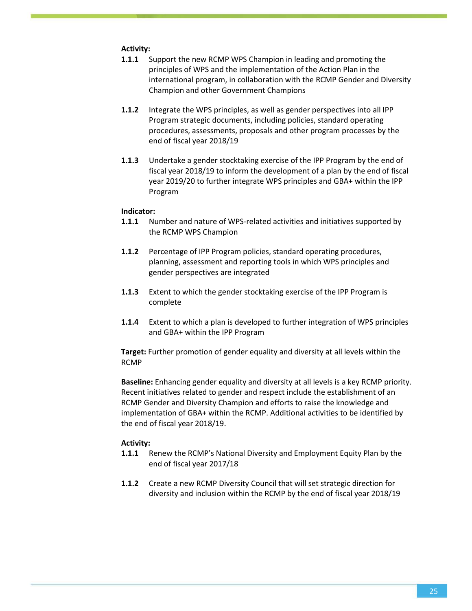#### **Activity:**

- **1.1.1** Support the new RCMP WPS Champion in leading and promoting the principles of WPS and the implementation of the Action Plan in the international program, in collaboration with the RCMP Gender and Diversity Champion and other Government Champions
- **1.1.2** Integrate the WPS principles, as well as gender perspectives into all IPP Program strategic documents, including policies, standard operating procedures, assessments, proposals and other program processes by the end of fiscal year 2018/19
- **1.1.3** Undertake a gender stocktaking exercise of the IPP Program by the end of fiscal year 2018/19 to inform the development of a plan by the end of fiscal year 2019/20 to further integrate WPS principles and GBA+ within the IPP Program

#### **Indicator:**

- **1.1.1** Number and nature of WPS-related activities and initiatives supported by the RCMP WPS Champion
- **1.1.2** Percentage of IPP Program policies, standard operating procedures, planning, assessment and reporting tools in which WPS principles and gender perspectives are integrated
- **1.1.3** Extent to which the gender stocktaking exercise of the IPP Program is complete
- **1.1.4** Extent to which a plan is developed to further integration of WPS principles and GBA+ within the IPP Program

**Target:** Further promotion of gender equality and diversity at all levels within the RCMP

**Baseline:** Enhancing gender equality and diversity at all levels is a key RCMP priority. Recent initiatives related to gender and respect include the establishment of an RCMP Gender and Diversity Champion and efforts to raise the knowledge and implementation of GBA+ within the RCMP. Additional activities to be identified by the end of fiscal year 2018/19.

#### **Activity:**

- **1.1.1** Renew the RCMP's National Diversity and Employment Equity Plan by the end of fiscal year 2017/18
- **1.1.2** Create a new RCMP Diversity Council that will set strategic direction for diversity and inclusion within the RCMP by the end of fiscal year 2018/19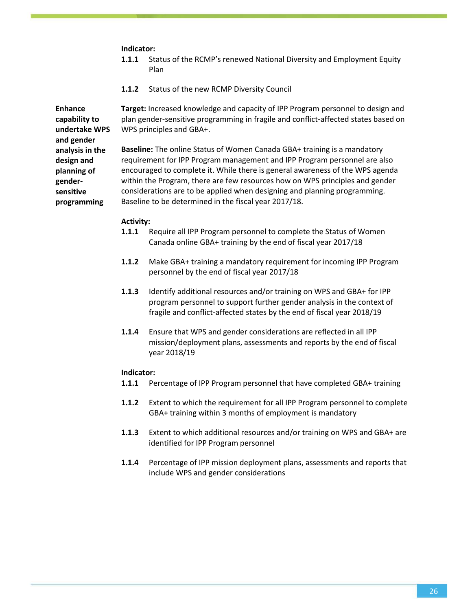#### **Indicator:**

- **1.1.1** Status of the RCMP's renewed National Diversity and Employment Equity Plan
- **1.1.2** Status of the new RCMP Diversity Council

**Target:** Increased knowledge and capacity of IPP Program personnel to design and plan gender-sensitive programming in fragile and conflict-affected states based on WPS principles and GBA+.

**Baseline:** The online Status of Women Canada GBA+ training is a mandatory requirement for IPP Program management and IPP Program personnel are also encouraged to complete it. While there is general awareness of the WPS agenda within the Program, there are few resources how on WPS principles and gender considerations are to be applied when designing and planning programming. Baseline to be determined in the fiscal year 2017/18.

#### **Activity:**

- **1.1.1** Require all IPP Program personnel to complete the Status of Women Canada online GBA+ training by the end of fiscal year 2017/18
- **1.1.2** Make GBA+ training a mandatory requirement for incoming IPP Program personnel by the end of fiscal year 2017/18
- **1.1.3** Identify additional resources and/or training on WPS and GBA+ for IPP program personnel to support further gender analysis in the context of fragile and conflict-affected states by the end of fiscal year 2018/19
- **1.1.4** Ensure that WPS and gender considerations are reflected in all IPP mission/deployment plans, assessments and reports by the end of fiscal year 2018/19

#### **Indicator:**

- **1.1.1** Percentage of IPP Program personnel that have completed GBA+ training
- **1.1.2** Extent to which the requirement for all IPP Program personnel to complete GBA+ training within 3 months of employment is mandatory
- **1.1.3** Extent to which additional resources and/or training on WPS and GBA+ are identified for IPP Program personnel
- **1.1.4** Percentage of IPP mission deployment plans, assessments and reports that include WPS and gender considerations

**Enhance capability to undertake WPS and gender analysis in the design and planning of gendersensitive programming**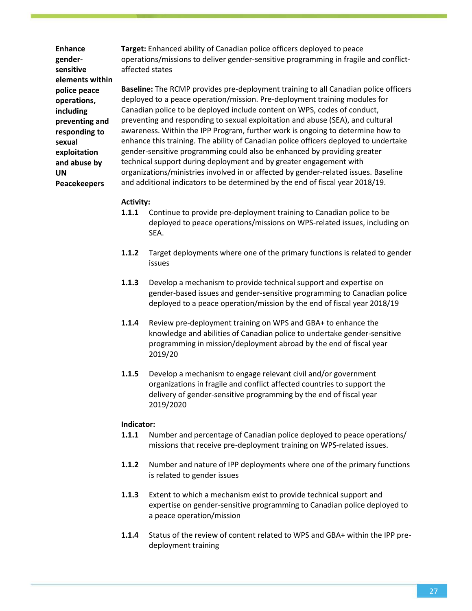**Enhance gendersensitive elements within police peace operations, including preventing and responding to sexual exploitation and abuse by UN Peacekeepers**

**Target:** Enhanced ability of Canadian police officers deployed to peace operations/missions to deliver gender-sensitive programming in fragile and conflictaffected states

**Baseline:** The RCMP provides pre-deployment training to all Canadian police officers deployed to a peace operation/mission. Pre-deployment training modules for Canadian police to be deployed include content on WPS, codes of conduct, preventing and responding to sexual exploitation and abuse (SEA), and cultural awareness. Within the IPP Program, further work is ongoing to determine how to enhance this training. The ability of Canadian police officers deployed to undertake gender-sensitive programming could also be enhanced by providing greater technical support during deployment and by greater engagement with organizations/ministries involved in or affected by gender-related issues. Baseline and additional indicators to be determined by the end of fiscal year 2018/19.

#### **Activity:**

- **1.1.1** Continue to provide pre-deployment training to Canadian police to be deployed to peace operations/missions on WPS-related issues, including on SEA.
- **1.1.2** Target deployments where one of the primary functions is related to gender issues
- **1.1.3** Develop a mechanism to provide technical support and expertise on gender-based issues and gender-sensitive programming to Canadian police deployed to a peace operation/mission by the end of fiscal year 2018/19
- **1.1.4** Review pre-deployment training on WPS and GBA+ to enhance the knowledge and abilities of Canadian police to undertake gender-sensitive programming in mission/deployment abroad by the end of fiscal year 2019/20
- **1.1.5** Develop a mechanism to engage relevant civil and/or government organizations in fragile and conflict affected countries to support the delivery of gender-sensitive programming by the end of fiscal year 2019/2020

- **1.1.1** Number and percentage of Canadian police deployed to peace operations/ missions that receive pre-deployment training on WPS-related issues.
- **1.1.2** Number and nature of IPP deployments where one of the primary functions is related to gender issues
- **1.1.3** Extent to which a mechanism exist to provide technical support and expertise on gender-sensitive programming to Canadian police deployed to a peace operation/mission
- **1.1.4** Status of the review of content related to WPS and GBA+ within the IPP predeployment training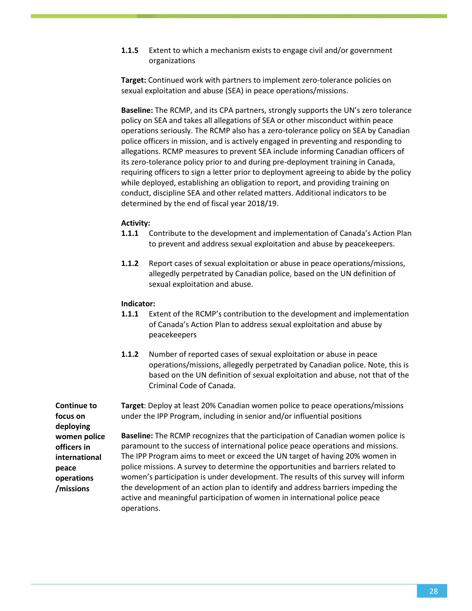**1.1.5** Extent to which a mechanism exists to engage civil and/or government organizations

**Target:** Continued work with partners to implement zero-tolerance policies on sexual exploitation and abuse (SEA) in peace operations/missions.

**Baseline:** The RCMP, and its CPA partners, strongly supports the UN's zero tolerance policy on SEA and takes all allegations of SEA or other misconduct within peace operations seriously. The RCMP also has a zero-tolerance policy on SEA by Canadian police officers in mission, and is actively engaged in preventing and responding to allegations. RCMP measures to prevent SEA include informing Canadian officers of its zero-tolerance policy prior to and during pre-deployment training in Canada, requiring officers to sign a letter prior to deployment agreeing to abide by the policy while deployed, establishing an obligation to report, and providing training on conduct, discipline SEA and other related matters. Additional indicators to be determined by the end of fiscal year 2018/19.

#### **Activity:**

- **1.1.1** Contribute to the development and implementation of Canada's Action Plan to prevent and address sexual exploitation and abuse by peacekeepers.
- **1.1.2** Report cases of sexual exploitation or abuse in peace operations/missions, allegedly perpetrated by Canadian police, based on the UN definition of sexual exploitation and abuse.

#### **Indicator:**

- **1.1.1** Extent of the RCMP's contribution to the development and implementation of Canada's Action Plan to address sexual exploitation and abuse by peacekeepers
- **1.1.2** Number of reported cases of sexual exploitation or abuse in peace operations/missions, allegedly perpetrated by Canadian police. Note, this is based on the UN definition of sexual exploitation and abuse, not that of the Criminal Code of Canada.

**Continue to focus on deploying women police officers in international peace operations /missions Target**: Deploy at least 20% Canadian women police to peace operations/missions under the IPP Program, including in senior and/or influential positions **Baseline:** The RCMP recognizes that the participation of Canadian women police is paramount to the success of international police peace operations and missions. The IPP Program aims to meet or exceed the UN target of having 20% women in police missions. A survey to determine the opportunities and barriers related to women's participation is under development. The results of this survey will inform the development of an action plan to identify and address barriers impeding the active and meaningful participation of women in international police peace operations.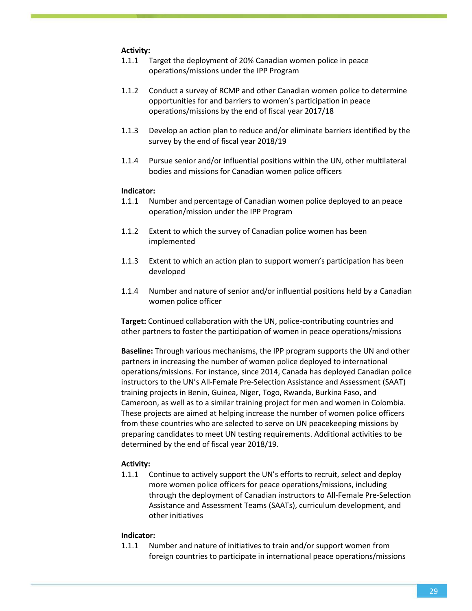#### **Activity:**

- 1.1.1 Target the deployment of 20% Canadian women police in peace operations/missions under the IPP Program
- 1.1.2 Conduct a survey of RCMP and other Canadian women police to determine opportunities for and barriers to women's participation in peace operations/missions by the end of fiscal year 2017/18
- 1.1.3 Develop an action plan to reduce and/or eliminate barriers identified by the survey by the end of fiscal year 2018/19
- 1.1.4 Pursue senior and/or influential positions within the UN, other multilateral bodies and missions for Canadian women police officers

#### **Indicator:**

- 1.1.1 Number and percentage of Canadian women police deployed to an peace operation/mission under the IPP Program
- 1.1.2 Extent to which the survey of Canadian police women has been implemented
- 1.1.3 Extent to which an action plan to support women's participation has been developed
- 1.1.4 Number and nature of senior and/or influential positions held by a Canadian women police officer

**Target:** Continued collaboration with the UN, police-contributing countries and other partners to foster the participation of women in peace operations/missions

**Baseline:** Through various mechanisms, the IPP program supports the UN and other partners in increasing the number of women police deployed to international operations/missions. For instance, since 2014, Canada has deployed Canadian police instructors to the UN's All-Female Pre-Selection Assistance and Assessment (SAAT) training projects in Benin, Guinea, Niger, Togo, Rwanda, Burkina Faso, and Cameroon, as well as to a similar training project for men and women in Colombia. These projects are aimed at helping increase the number of women police officers from these countries who are selected to serve on UN peacekeeping missions by preparing candidates to meet UN testing requirements. Additional activities to be determined by the end of fiscal year 2018/19.

#### **Activity:**

1.1.1 Continue to actively support the UN's efforts to recruit, select and deploy more women police officers for peace operations/missions, including through the deployment of Canadian instructors to All-Female Pre-Selection Assistance and Assessment Teams (SAATs), curriculum development, and other initiatives

#### **Indicator:**

1.1.1 Number and nature of initiatives to train and/or support women from foreign countries to participate in international peace operations/missions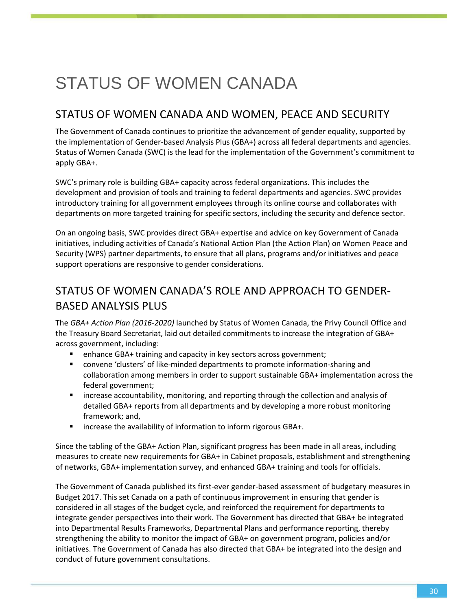# <span id="page-30-0"></span>STATUS OF WOMEN CANADA

### STATUS OF WOMEN CANADA AND WOMEN, PEACE AND SECURITY

The Government of Canada continues to prioritize the advancement of gender equality, supported by the implementation of Gender-based Analysis Plus (GBA+) across all federal departments and agencies. Status of Women Canada (SWC) is the lead for the implementation of the Government's commitment to apply GBA+.

SWC's primary role is building GBA+ capacity across federal organizations. This includes the development and provision of tools and training to federal departments and agencies. SWC provides introductory training for all government employees through its online course and collaborates with departments on more targeted training for specific sectors, including the security and defence sector.

On an ongoing basis, SWC provides direct GBA+ expertise and advice on key Government of Canada initiatives, including activities of Canada's National Action Plan (the Action Plan) on Women Peace and Security (WPS) partner departments, to ensure that all plans, programs and/or initiatives and peace support operations are responsive to gender considerations.

## STATUS OF WOMEN CANADA'S ROLE AND APPROACH TO GENDER-BASED ANALYSIS PLUS

The *GBA+ Action Plan (2016-2020)* launched by Status of Women Canada, the Privy Council Office and the Treasury Board Secretariat, laid out detailed commitments to increase the integration of GBA+ across government, including:

- enhance GBA+ training and capacity in key sectors across government;
- convene 'clusters' of like-minded departments to promote information-sharing and collaboration among members in order to support sustainable GBA+ implementation across the federal government;
- increase accountability, monitoring, and reporting through the collection and analysis of detailed GBA+ reports from all departments and by developing a more robust monitoring framework; and,
- increase the availability of information to inform rigorous GBA+.

Since the tabling of the GBA+ Action Plan, significant progress has been made in all areas, including measures to create new requirements for GBA+ in Cabinet proposals, establishment and strengthening of networks, GBA+ implementation survey, and enhanced GBA+ training and tools for officials.

The Government of Canada published its first-ever gender-based assessment of budgetary measures in Budget 2017. This set Canada on a path of continuous improvement in ensuring that gender is considered in all stages of the budget cycle, and reinforced the requirement for departments to integrate gender perspectives into their work. The Government has directed that GBA+ be integrated into Departmental Results Frameworks, Departmental Plans and performance reporting, thereby strengthening the ability to monitor the impact of GBA+ on government program, policies and/or initiatives. The Government of Canada has also directed that GBA+ be integrated into the design and conduct of future government consultations.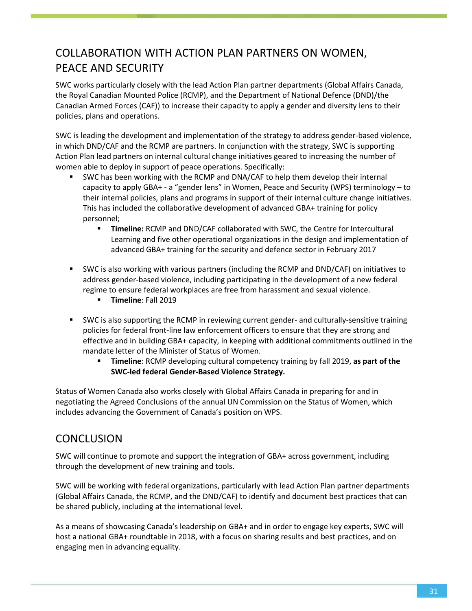# COLLABORATION WITH ACTION PLAN PARTNERS ON WOMEN, PEACE AND SECURITY

SWC works particularly closely with the lead Action Plan partner departments (Global Affairs Canada, the Royal Canadian Mounted Police (RCMP), and the Department of National Defence (DND)/the Canadian Armed Forces (CAF)) to increase their capacity to apply a gender and diversity lens to their policies, plans and operations.

SWC is leading the development and implementation of the strategy to address gender-based violence, in which DND/CAF and the RCMP are partners. In conjunction with the strategy, SWC is supporting Action Plan lead partners on internal cultural change initiatives geared to increasing the number of women able to deploy in support of peace operations. Specifically:

- SWC has been working with the RCMP and DNA/CAF to help them develop their internal capacity to apply GBA+ - a "gender lens" in Women, Peace and Security (WPS) terminology – to their internal policies, plans and programs in support of their internal culture change initiatives. This has included the collaborative development of advanced GBA+ training for policy personnel;
	- **Timeline:** RCMP and DND/CAF collaborated with SWC, the Centre for Intercultural Learning and five other operational organizations in the design and implementation of advanced GBA+ training for the security and defence sector in February 2017
- SWC is also working with various partners (including the RCMP and DND/CAF) on initiatives to address gender-based violence, including participating in the development of a new federal regime to ensure federal workplaces are free from harassment and sexual violence.
	- **Timeline**: Fall 2019
- SWC is also supporting the RCMP in reviewing current gender- and culturally-sensitive training policies for federal front-line law enforcement officers to ensure that they are strong and effective and in building GBA+ capacity, in keeping with additional commitments outlined in the mandate letter of the Minister of Status of Women.
	- **Timeline**: RCMP developing cultural competency training by fall 2019, **as part of the SWC-led federal Gender-Based Violence Strategy.**

Status of Women Canada also works closely with Global Affairs Canada in preparing for and in negotiating the Agreed Conclusions of the annual UN Commission on the Status of Women, which includes advancing the Government of Canada's position on WPS.

### **CONCLUSION**

SWC will continue to promote and support the integration of GBA+ across government, including through the development of new training and tools.

SWC will be working with federal organizations, particularly with lead Action Plan partner departments (Global Affairs Canada, the RCMP, and the DND/CAF) to identify and document best practices that can be shared publicly, including at the international level.

As a means of showcasing Canada's leadership on GBA+ and in order to engage key experts, SWC will host a national GBA+ roundtable in 2018, with a focus on sharing results and best practices, and on engaging men in advancing equality.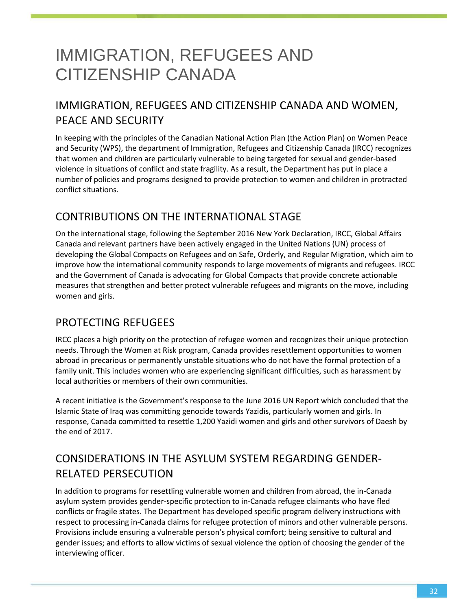# <span id="page-32-0"></span>IMMIGRATION, REFUGEES AND CITIZENSHIP CANADA

# IMMIGRATION, REFUGEES AND CITIZENSHIP CANADA AND WOMEN, PEACE AND SECURITY

In keeping with the principles of the Canadian National Action Plan (the Action Plan) on Women Peace and Security (WPS), the department of Immigration, Refugees and Citizenship Canada (IRCC) recognizes that women and children are particularly vulnerable to being targeted for sexual and gender-based violence in situations of conflict and state fragility. As a result, the Department has put in place a number of policies and programs designed to provide protection to women and children in protracted conflict situations.

### CONTRIBUTIONS ON THE INTERNATIONAL STAGE

On the international stage, following the September 2016 New York Declaration, IRCC, Global Affairs Canada and relevant partners have been actively engaged in the United Nations (UN) process of developing the Global Compacts on Refugees and on Safe, Orderly, and Regular Migration, which aim to improve how the international community responds to large movements of migrants and refugees. IRCC and the Government of Canada is advocating for Global Compacts that provide concrete actionable measures that strengthen and better protect vulnerable refugees and migrants on the move, including women and girls.

### PROTECTING REFUGEES

IRCC places a high priority on the protection of refugee women and recognizes their unique protection needs. Through the Women at Risk program, Canada provides resettlement opportunities to women abroad in precarious or permanently unstable situations who do not have the formal protection of a family unit. This includes women who are experiencing significant difficulties, such as harassment by local authorities or members of their own communities.

A recent initiative is the Government's response to the June 2016 UN Report which concluded that the Islamic State of Iraq was committing genocide towards Yazidis, particularly women and girls. In response, Canada committed to resettle 1,200 Yazidi women and girls and other survivors of Daesh by the end of 2017.

# CONSIDERATIONS IN THE ASYLUM SYSTEM REGARDING GENDER-RELATED PERSECUTION

In addition to programs for resettling vulnerable women and children from abroad, the in-Canada asylum system provides gender-specific protection to in-Canada refugee claimants who have fled conflicts or fragile states. The Department has developed specific program delivery instructions with respect to processing in-Canada claims for refugee protection of minors and other vulnerable persons. Provisions include ensuring a vulnerable person's physical comfort; being sensitive to cultural and gender issues; and efforts to allow victims of sexual violence the option of choosing the gender of the interviewing officer.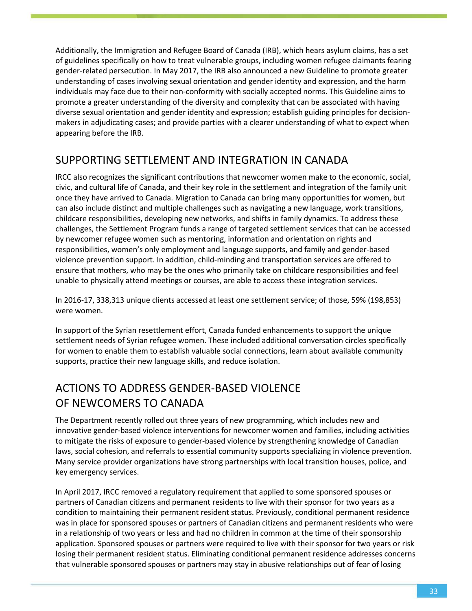Additionally, the Immigration and Refugee Board of Canada (IRB), which hears asylum claims, has a set of guidelines specifically on how to treat vulnerable groups, including women refugee claimants fearing gender-related persecution. In May 2017, the IRB also announced a new Guideline to promote greater understanding of cases involving sexual orientation and gender identity and expression, and the harm individuals may face due to their non-conformity with socially accepted norms. This Guideline aims to promote a greater understanding of the diversity and complexity that can be associated with having diverse sexual orientation and gender identity and expression; establish guiding principles for decisionmakers in adjudicating cases; and provide parties with a clearer understanding of what to expect when appearing before the IRB.

## SUPPORTING SETTLEMENT AND INTEGRATION IN CANADA

IRCC also recognizes the significant contributions that newcomer women make to the economic, social, civic, and cultural life of Canada, and their key role in the settlement and integration of the family unit once they have arrived to Canada. Migration to Canada can bring many opportunities for women, but can also include distinct and multiple challenges such as navigating a new language, work transitions, childcare responsibilities, developing new networks, and shifts in family dynamics. To address these challenges, the Settlement Program funds a range of targeted settlement services that can be accessed by newcomer refugee women such as mentoring, information and orientation on rights and responsibilities, women's only employment and language supports, and family and gender-based violence prevention support. In addition, child-minding and transportation services are offered to ensure that mothers, who may be the ones who primarily take on childcare responsibilities and feel unable to physically attend meetings or courses, are able to access these integration services.

In 2016-17, 338,313 unique clients accessed at least one settlement service; of those, 59% (198,853) were women.

In support of the Syrian resettlement effort, Canada funded enhancements to support the unique settlement needs of Syrian refugee women. These included additional conversation circles specifically for women to enable them to establish valuable social connections, learn about available community supports, practice their new language skills, and reduce isolation.

# ACTIONS TO ADDRESS GENDER-BASED VIOLENCE OF NEWCOMERS TO CANADA

The Department recently rolled out three years of new programming, which includes new and innovative gender-based violence interventions for newcomer women and families, including activities to mitigate the risks of exposure to gender-based violence by strengthening knowledge of Canadian laws, social cohesion, and referrals to essential community supports specializing in violence prevention. Many service provider organizations have strong partnerships with local transition houses, police, and key emergency services.

In April 2017, IRCC removed a regulatory requirement that applied to some sponsored spouses or partners of Canadian citizens and permanent residents to live with their sponsor for two years as a condition to maintaining their permanent resident status. Previously, conditional permanent residence was in place for sponsored spouses or partners of Canadian citizens and permanent residents who were in a relationship of two years or less and had no children in common at the time of their sponsorship application. Sponsored spouses or partners were required to live with their sponsor for two years or risk losing their permanent resident status. Eliminating conditional permanent residence addresses concerns that vulnerable sponsored spouses or partners may stay in abusive relationships out of fear of losing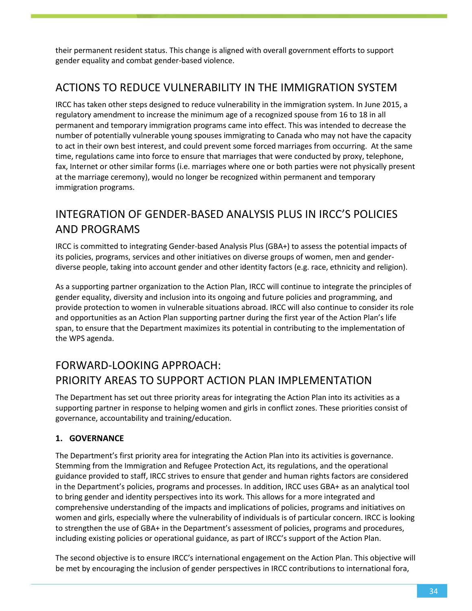their permanent resident status. This change is aligned with overall government efforts to support gender equality and combat gender-based violence.

### ACTIONS TO REDUCE VULNERABILITY IN THE IMMIGRATION SYSTEM

IRCC has taken other steps designed to reduce vulnerability in the immigration system. In June 2015, a regulatory amendment to increase the minimum age of a recognized spouse from 16 to 18 in all permanent and temporary immigration programs came into effect. This was intended to decrease the number of potentially vulnerable young spouses immigrating to Canada who may not have the capacity to act in their own best interest, and could prevent some forced marriages from occurring. At the same time, regulations came into force to ensure that marriages that were conducted by proxy, telephone, fax, Internet or other similar forms (i.e. marriages where one or both parties were not physically present at the marriage ceremony), would no longer be recognized within permanent and temporary immigration programs.

## INTEGRATION OF GENDER-BASED ANALYSIS PLUS IN IRCC'S POLICIES AND PROGRAMS

IRCC is committed to integrating Gender-based Analysis Plus (GBA+) to assess the potential impacts of its policies, programs, services and other initiatives on diverse groups of women, men and genderdiverse people, taking into account gender and other identity factors (e.g. race, ethnicity and religion).

As a supporting partner organization to the Action Plan, IRCC will continue to integrate the principles of gender equality, diversity and inclusion into its ongoing and future policies and programming, and provide protection to women in vulnerable situations abroad. IRCC will also continue to consider its role and opportunities as an Action Plan supporting partner during the first year of the Action Plan's life span, to ensure that the Department maximizes its potential in contributing to the implementation of the WPS agenda.

# FORWARD-LOOKING APPROACH: PRIORITY AREAS TO SUPPORT ACTION PLAN IMPLEMENTATION

The Department has set out three priority areas for integrating the Action Plan into its activities as a supporting partner in response to helping women and girls in conflict zones. These priorities consist of governance, accountability and training/education.

#### **1. GOVERNANCE**

The Department's first priority area for integrating the Action Plan into its activities is governance. Stemming from the Immigration and Refugee Protection Act, its regulations, and the operational guidance provided to staff, IRCC strives to ensure that gender and human rights factors are considered in the Department's policies, programs and processes. In addition, IRCC uses GBA+ as an analytical tool to bring gender and identity perspectives into its work. This allows for a more integrated and comprehensive understanding of the impacts and implications of policies, programs and initiatives on women and girls, especially where the vulnerability of individuals is of particular concern. IRCC is looking to strengthen the use of GBA+ in the Department's assessment of policies, programs and procedures, including existing policies or operational guidance, as part of IRCC's support of the Action Plan.

The second objective is to ensure IRCC's international engagement on the Action Plan. This objective will be met by encouraging the inclusion of gender perspectives in IRCC contributions to international fora,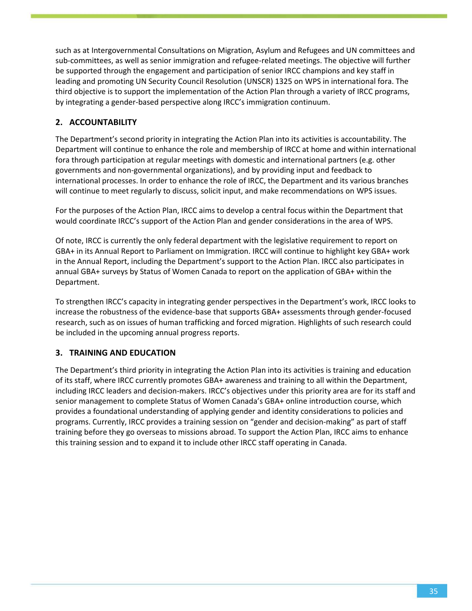such as at Intergovernmental Consultations on Migration, Asylum and Refugees and UN committees and sub-committees, as well as senior immigration and refugee-related meetings. The objective will further be supported through the engagement and participation of senior IRCC champions and key staff in leading and promoting UN Security Council Resolution (UNSCR) 1325 on WPS in international fora. The third objective is to support the implementation of the Action Plan through a variety of IRCC programs, by integrating a gender-based perspective along IRCC's immigration continuum.

#### **2. ACCOUNTABILITY**

The Department's second priority in integrating the Action Plan into its activities is accountability. The Department will continue to enhance the role and membership of IRCC at home and within international fora through participation at regular meetings with domestic and international partners (e.g. other governments and non-governmental organizations), and by providing input and feedback to international processes. In order to enhance the role of IRCC, the Department and its various branches will continue to meet regularly to discuss, solicit input, and make recommendations on WPS issues.

For the purposes of the Action Plan, IRCC aims to develop a central focus within the Department that would coordinate IRCC's support of the Action Plan and gender considerations in the area of WPS.

Of note, IRCC is currently the only federal department with the legislative requirement to report on GBA+ in its Annual Report to Parliament on Immigration. IRCC will continue to highlight key GBA+ work in the Annual Report, including the Department's support to the Action Plan. IRCC also participates in annual GBA+ surveys by Status of Women Canada to report on the application of GBA+ within the Department.

To strengthen IRCC's capacity in integrating gender perspectives in the Department's work, IRCC looks to increase the robustness of the evidence-base that supports GBA+ assessments through gender-focused research, such as on issues of human trafficking and forced migration. Highlights of such research could be included in the upcoming annual progress reports.

#### **3. TRAINING AND EDUCATION**

The Department's third priority in integrating the Action Plan into its activities is training and education of its staff, where IRCC currently promotes GBA+ awareness and training to all within the Department, including IRCC leaders and decision-makers. IRCC's objectives under this priority area are for its staff and senior management to complete Status of Women Canada's GBA+ online introduction course, which provides a foundational understanding of applying gender and identity considerations to policies and programs. Currently, IRCC provides a training session on "gender and decision-making" as part of staff training before they go overseas to missions abroad. To support the Action Plan, IRCC aims to enhance this training session and to expand it to include other IRCC staff operating in Canada.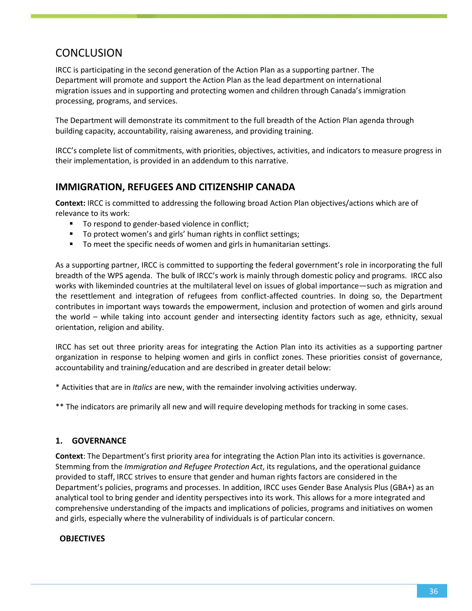### **CONCLUSION**

IRCC is participating in the second generation of the Action Plan as a supporting partner. The Department will promote and support the Action Plan as the lead department on international migration issues and in supporting and protecting women and children through Canada's immigration processing, programs, and services.

The Department will demonstrate its commitment to the full breadth of the Action Plan agenda through building capacity, accountability, raising awareness, and providing training.

IRCC's complete list of commitments, with priorities, objectives, activities, and indicators to measure progress in their implementation, is provided in an addendum to this narrative.

### **IMMIGRATION, REFUGEES AND CITIZENSHIP CANADA**

**Context:** IRCC is committed to addressing the following broad Action Plan objectives/actions which are of relevance to its work:

- To respond to gender-based violence in conflict;
- To protect women's and girls' human rights in conflict settings;
- To meet the specific needs of women and girls in humanitarian settings.

As a supporting partner, IRCC is committed to supporting the federal government's role in incorporating the full breadth of the WPS agenda. The bulk of IRCC's work is mainly through domestic policy and programs. IRCC also works with likeminded countries at the multilateral level on issues of global importance—such as migration and the resettlement and integration of refugees from conflict-affected countries. In doing so, the Department contributes in important ways towards the empowerment, inclusion and protection of women and girls around the world – while taking into account gender and intersecting identity factors such as age, ethnicity, sexual orientation, religion and ability.

IRCC has set out three priority areas for integrating the Action Plan into its activities as a supporting partner organization in response to helping women and girls in conflict zones. These priorities consist of governance, accountability and training/education and are described in greater detail below:

\* Activities that are in *Italics* are new, with the remainder involving activities underway.

\*\* The indicators are primarily all new and will require developing methods for tracking in some cases.

#### **1. GOVERNANCE**

**Context**: The Department's first priority area for integrating the Action Plan into its activities is governance. Stemming from the *Immigration and Refugee Protection Act*, its regulations, and the operational guidance provided to staff, IRCC strives to ensure that gender and human rights factors are considered in the Department's policies, programs and processes. In addition, IRCC uses Gender Base Analysis Plus (GBA+) as an analytical tool to bring gender and identity perspectives into its work. This allows for a more integrated and comprehensive understanding of the impacts and implications of policies, programs and initiatives on women and girls, especially where the vulnerability of individuals is of particular concern.

#### **OBJECTIVES**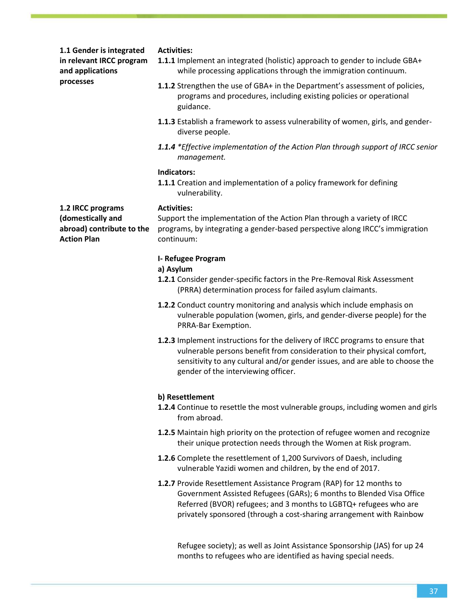**1.1 Gender is integrated in relevant IRCC program and applications processes**

#### **Activities:**

- **1.1.1** Implement an integrated (holistic) approach to gender to include GBA+ while processing applications through the immigration continuum.
- **1.1.2** Strengthen the use of GBA+ in the Department's assessment of policies, programs and procedures, including existing policies or operational guidance.
- **1.1.3** Establish a framework to assess vulnerability of women, girls, and genderdiverse people.
- *1.1.4 \*Effective implementation of the Action Plan through support of IRCC senior management.*

#### **Indicators:**

**1.1.1** Creation and implementation of a policy framework for defining vulnerability.

**1.2 IRCC programs (domestically and abroad) contribute to the Action Plan**

#### **Activities:**

Support the implementation of the Action Plan through a variety of IRCC programs, by integrating a gender-based perspective along IRCC's immigration continuum:

#### **I- Refugee Program**

#### **a) Asylum**

- **1.2.1** Consider gender-specific factors in the Pre-Removal Risk Assessment (PRRA) determination process for failed asylum claimants.
- **1.2.2** Conduct country monitoring and analysis which include emphasis on vulnerable population (women, girls, and gender-diverse people) for the PRRA-Bar Exemption.
- **1.2.3** Implement instructions for the delivery of IRCC programs to ensure that vulnerable persons benefit from consideration to their physical comfort, sensitivity to any cultural and/or gender issues, and are able to choose the gender of the interviewing officer.

#### **b) Resettlement**

- **1.2.4** Continue to resettle the most vulnerable groups, including women and girls from abroad.
- **1.2.5** Maintain high priority on the protection of refugee women and recognize their unique protection needs through the Women at Risk program.
- **1.2.6** Complete the resettlement of 1,200 Survivors of Daesh, including vulnerable Yazidi women and children, by the end of 2017.
- **1.2.7** Provide Resettlement Assistance Program (RAP) for 12 months to Government Assisted Refugees (GARs); 6 months to Blended Visa Office Referred (BVOR) refugees; and 3 months to LGBTQ+ refugees who are privately sponsored (through a cost-sharing arrangement with Rainbow

Refugee society); as well as Joint Assistance Sponsorship (JAS) for up 24 months to refugees who are identified as having special needs.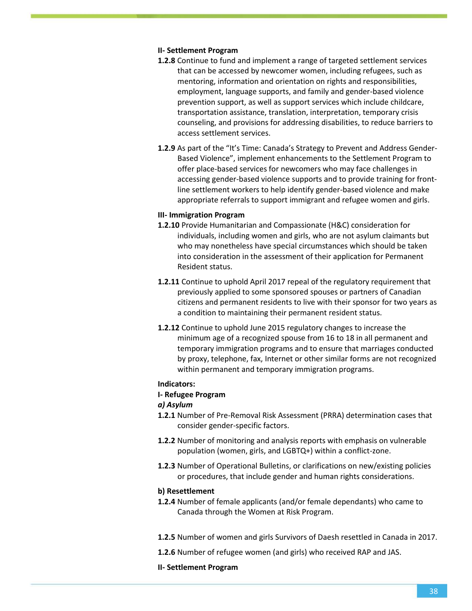#### **II- Settlement Program**

- **1.2.8** Continue to fund and implement a range of targeted settlement services that can be accessed by newcomer women, including refugees, such as mentoring, information and orientation on rights and responsibilities, employment, language supports, and family and gender-based violence prevention support, as well as support services which include childcare, transportation assistance, translation, interpretation, temporary crisis counseling, and provisions for addressing disabilities, to reduce barriers to access settlement services.
- **1.2.9** As part of the "It's Time: Canada's Strategy to Prevent and Address Gender-Based Violence", implement enhancements to the Settlement Program to offer place-based services for newcomers who may face challenges in accessing gender-based violence supports and to provide training for frontline settlement workers to help identify gender-based violence and make appropriate referrals to support immigrant and refugee women and girls.

#### **III- Immigration Program**

- **1.2.10** Provide Humanitarian and Compassionate (H&C) consideration for individuals, including women and girls, who are not asylum claimants but who may nonetheless have special circumstances which should be taken into consideration in the assessment of their application for Permanent Resident status.
- **1.2.11** Continue to uphold April 2017 repeal of the regulatory requirement that previously applied to some sponsored spouses or partners of Canadian citizens and permanent residents to live with their sponsor for two years as a condition to maintaining their permanent resident status.
- **1.2.12** Continue to uphold June 2015 regulatory changes to increase the minimum age of a recognized spouse from 16 to 18 in all permanent and temporary immigration programs and to ensure that marriages conducted by proxy, telephone, fax, Internet or other similar forms are not recognized within permanent and temporary immigration programs.

#### **Indicators:**

#### **I- Refugee Program**

#### *a) Asylum*

- **1.2.1** Number of Pre-Removal Risk Assessment (PRRA) determination cases that consider gender-specific factors.
- **1.2.2** Number of monitoring and analysis reports with emphasis on vulnerable population (women, girls, and LGBTQ+) within a conflict-zone.
- **1.2.3** Number of Operational Bulletins, or clarifications on new/existing policies or procedures, that include gender and human rights considerations.

#### **b) Resettlement**

- **1.2.4** Number of female applicants (and/or female dependants) who came to Canada through the Women at Risk Program.
- **1.2.5** Number of women and girls Survivors of Daesh resettled in Canada in 2017.
- **1.2.6** Number of refugee women (and girls) who received RAP and JAS.
- **II- Settlement Program**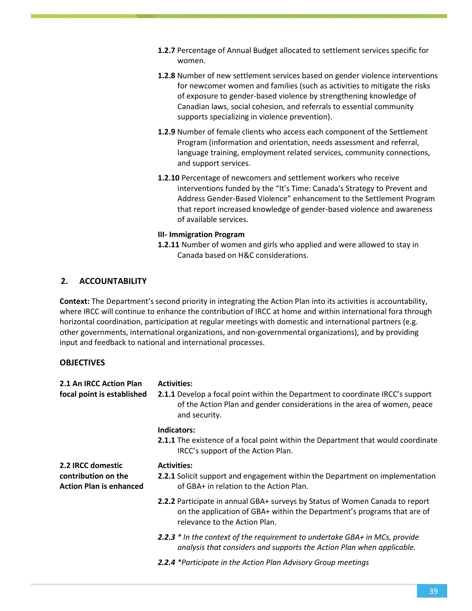- **1.2.7** Percentage of Annual Budget allocated to settlement services specific for women.
- **1.2.8** Number of new settlement services based on gender violence interventions for newcomer women and families (such as activities to mitigate the risks of exposure to gender-based violence by strengthening knowledge of Canadian laws, social cohesion, and referrals to essential community supports specializing in violence prevention).
- **1.2.9** Number of female clients who access each component of the Settlement Program (information and orientation, needs assessment and referral, language training, employment related services, community connections, and support services.
- **1.2.10** Percentage of newcomers and settlement workers who receive interventions funded by the "It's Time: Canada's Strategy to Prevent and Address Gender-Based Violence" enhancement to the Settlement Program that report increased knowledge of gender-based violence and awareness of available services.

#### **III- Immigration Program**

**1.2.11** Number of women and girls who applied and were allowed to stay in Canada based on H&C considerations.

#### **2. ACCOUNTABILITY**

**Context:** The Department's second priority in integrating the Action Plan into its activities is accountability, where IRCC will continue to enhance the contribution of IRCC at home and within international fora through horizontal coordination, participation at regular meetings with domestic and international partners (e.g. other governments, international organizations, and non-governmental organizations), and by providing input and feedback to national and international processes.

#### **OBJECTIVES**

| 2.1 An IRCC Action Plan<br>focal point is established                      | <b>Activities:</b><br><b>2.1.1</b> Develop a focal point within the Department to coordinate IRCC's support<br>of the Action Plan and gender considerations in the area of women, peace<br>and security. |
|----------------------------------------------------------------------------|----------------------------------------------------------------------------------------------------------------------------------------------------------------------------------------------------------|
|                                                                            | Indicators:<br>2.1.1 The existence of a focal point within the Department that would coordinate<br>IRCC's support of the Action Plan.                                                                    |
| 2.2 IRCC domestic<br>contribution on the<br><b>Action Plan is enhanced</b> | <b>Activities:</b><br><b>2.2.1</b> Solicit support and engagement within the Department on implementation<br>of GBA+ in relation to the Action Plan.                                                     |
|                                                                            | 2.2.2 Participate in annual GBA+ surveys by Status of Women Canada to report<br>on the application of GBA+ within the Department's programs that are of<br>relevance to the Action Plan.                 |
|                                                                            | 2.2.3 * In the context of the requirement to undertake GBA+ in MCs, provide<br>analysis that considers and supports the Action Plan when applicable.                                                     |
|                                                                            | 2.2.4 *Participate in the Action Plan Advisory Group meetings                                                                                                                                            |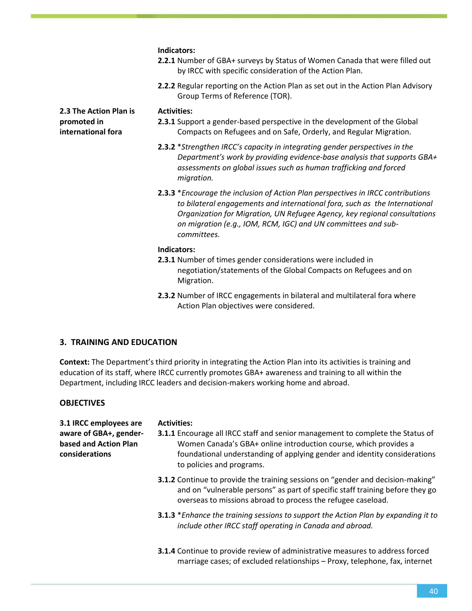|                                                             | Indicators:<br>2.2.1 Number of GBA+ surveys by Status of Women Canada that were filled out<br>by IRCC with specific consideration of the Action Plan.                                                                                                                                                                              |
|-------------------------------------------------------------|------------------------------------------------------------------------------------------------------------------------------------------------------------------------------------------------------------------------------------------------------------------------------------------------------------------------------------|
|                                                             | 2.2.2 Regular reporting on the Action Plan as set out in the Action Plan Advisory<br>Group Terms of Reference (TOR).                                                                                                                                                                                                               |
| 2.3 The Action Plan is<br>promoted in<br>international fora | <b>Activities:</b><br>2.3.1 Support a gender-based perspective in the development of the Global<br>Compacts on Refugees and on Safe, Orderly, and Regular Migration.                                                                                                                                                               |
|                                                             | 2.3.2 *Strengthen IRCC's capacity in integrating gender perspectives in the<br>Department's work by providing evidence-base analysis that supports GBA+<br>assessments on global issues such as human trafficking and forced<br>migration.                                                                                         |
|                                                             | <b>2.3.3</b> *Encourage the inclusion of Action Plan perspectives in IRCC contributions<br>to bilateral engagements and international fora, such as the International<br>Organization for Migration, UN Refugee Agency, key regional consultations<br>on migration (e.g., IOM, RCM, IGC) and UN committees and sub-<br>committees. |
|                                                             | Indicators:                                                                                                                                                                                                                                                                                                                        |
|                                                             | 2.3.1 Number of times gender considerations were included in<br>negotiation/statements of the Global Compacts on Refugees and on<br>Migration.                                                                                                                                                                                     |

**2.3.2** Number of IRCC engagements in bilateral and multilateral fora where Action Plan objectives were considered.

#### **3. TRAINING AND EDUCATION**

**Context:** The Department's third priority in integrating the Action Plan into its activities is training and education of its staff, where IRCC currently promotes GBA+ awareness and training to all within the Department, including IRCC leaders and decision-makers working home and abroad.

#### **OBJECTIVES**

| 3.1 IRCC employees are<br>aware of GBA+, gender-<br>based and Action Plan<br>considerations | <b>Activities:</b><br><b>3.1.1</b> Encourage all IRCC staff and senior management to complete the Status of<br>Women Canada's GBA+ online introduction course, which provides a<br>foundational understanding of applying gender and identity considerations<br>to policies and programs. |
|---------------------------------------------------------------------------------------------|-------------------------------------------------------------------------------------------------------------------------------------------------------------------------------------------------------------------------------------------------------------------------------------------|
|                                                                                             | <b>3.1.2</b> Continue to provide the training sessions on "gender and decision-making"<br>and on "vulnerable persons" as part of specific staff training before they go<br>overseas to missions abroad to process the refugee caseload.                                                   |
|                                                                                             | <b>3.1.3</b> *Enhance the training sessions to support the Action Plan by expanding it to<br>include other IRCC staff operating in Canada and abroad.                                                                                                                                     |
|                                                                                             | <b>3.1.4</b> Continue to provide review of administrative measures to address forced<br>marriage cases; of excluded relationships - Proxy, telephone, fax, internet                                                                                                                       |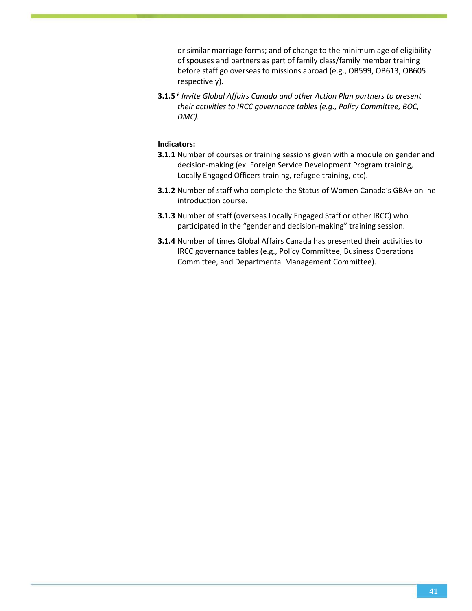or similar marriage forms; and of change to the minimum age of eligibility of spouses and partners as part of family class/family member training before staff go overseas to missions abroad (e.g., OB599, OB613, OB605 respectively).

**3.1.5***\* Invite Global Affairs Canada and other Action Plan partners to present their activities to IRCC governance tables (e.g., Policy Committee, BOC, DMC).*

- **3.1.1** Number of courses or training sessions given with a module on gender and decision-making (ex. Foreign Service Development Program training, Locally Engaged Officers training, refugee training, etc).
- **3.1.2** Number of staff who complete the Status of Women Canada's GBA+ online introduction course.
- **3.1.3** Number of staff (overseas Locally Engaged Staff or other IRCC) who participated in the "gender and decision-making" training session.
- <span id="page-41-0"></span>**3.1.4** Number of times Global Affairs Canada has presented their activities to IRCC governance tables (e.g., Policy Committee, Business Operations Committee, and Departmental Management Committee).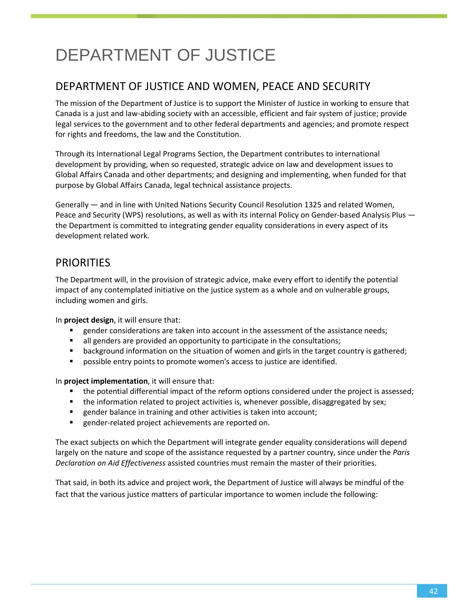# DEPARTMENT OF JUSTICE

### DEPARTMENT OF JUSTICE AND WOMEN, PEACE AND SECURITY

The mission of the Department of Justice is to support the Minister of Justice in working to ensure that Canada is a just and law-abiding society with an accessible, efficient and fair system of justice; provide legal services to the government and to other federal departments and agencies; and promote respect for rights and freedoms, the law and the Constitution.

Through its International Legal Programs Section, the Department contributes to international development by providing, when so requested, strategic advice on law and development issues to Global Affairs Canada and other departments; and designing and implementing, when funded for that purpose by Global Affairs Canada, legal technical assistance projects.

Generally — and in line with United Nations Security Council Resolution 1325 and related Women, Peace and Security (WPS) resolutions, as well as with its internal Policy on Gender-based Analysis Plus the Department is committed to integrating gender equality considerations in every aspect of its development related work.

### **PRIORITIES**

The Department will, in the provision of strategic advice, make every effort to identify the potential impact of any contemplated initiative on the justice system as a whole and on vulnerable groups, including women and girls.

In **project design**, it will ensure that:

- gender considerations are taken into account in the assessment of the assistance needs;
- **If all genders are provided an opportunity to participate in the consultations;**
- **EXED** background information on the situation of women and girls in the target country is gathered;
- **Permanulate intring points to promote women's access to justice are identified.**

In **project implementation**, it will ensure that:

- the potential differential impact of the reform options considered under the project is assessed;
- the information related to project activities is, whenever possible, disaggregated by sex;
- **EXECT** gender balance in training and other activities is taken into account;
- **EXECTE:** gender-related project achievements are reported on.

The exact subjects on which the Department will integrate gender equality considerations will depend largely on the nature and scope of the assistance requested by a partner country, since under the *Paris Declaration on Aid Effectiveness* assisted countries must remain the master of their priorities.

That said, in both its advice and project work, the Department of Justice will always be mindful of the fact that the various justice matters of particular importance to women include the following: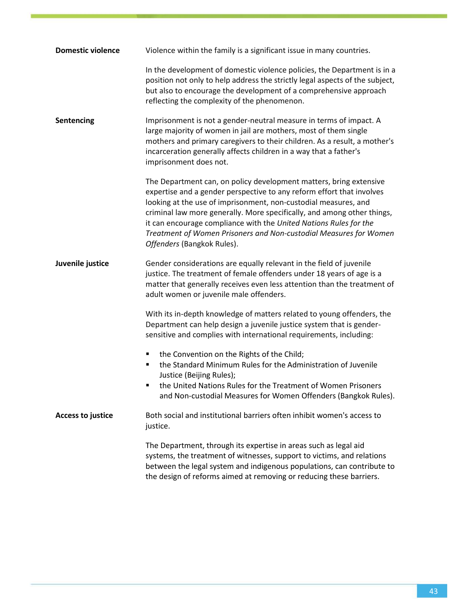| <b>Domestic violence</b> | Violence within the family is a significant issue in many countries.                                                                                                                                                                                                                                                                                                                                                                                              |
|--------------------------|-------------------------------------------------------------------------------------------------------------------------------------------------------------------------------------------------------------------------------------------------------------------------------------------------------------------------------------------------------------------------------------------------------------------------------------------------------------------|
|                          | In the development of domestic violence policies, the Department is in a<br>position not only to help address the strictly legal aspects of the subject,<br>but also to encourage the development of a comprehensive approach<br>reflecting the complexity of the phenomenon.                                                                                                                                                                                     |
| Sentencing               | Imprisonment is not a gender-neutral measure in terms of impact. A<br>large majority of women in jail are mothers, most of them single<br>mothers and primary caregivers to their children. As a result, a mother's<br>incarceration generally affects children in a way that a father's<br>imprisonment does not.                                                                                                                                                |
|                          | The Department can, on policy development matters, bring extensive<br>expertise and a gender perspective to any reform effort that involves<br>looking at the use of imprisonment, non-custodial measures, and<br>criminal law more generally. More specifically, and among other things,<br>it can encourage compliance with the United Nations Rules for the<br>Treatment of Women Prisoners and Non-custodial Measures for Women<br>Offenders (Bangkok Rules). |
| Juvenile justice         | Gender considerations are equally relevant in the field of juvenile<br>justice. The treatment of female offenders under 18 years of age is a<br>matter that generally receives even less attention than the treatment of<br>adult women or juvenile male offenders.                                                                                                                                                                                               |
|                          | With its in-depth knowledge of matters related to young offenders, the<br>Department can help design a juvenile justice system that is gender-<br>sensitive and complies with international requirements, including:                                                                                                                                                                                                                                              |
|                          | the Convention on the Rights of the Child;<br>٠<br>the Standard Minimum Rules for the Administration of Juvenile<br>٠<br>Justice (Beijing Rules);<br>the United Nations Rules for the Treatment of Women Prisoners<br>and Non-custodial Measures for Women Offenders (Bangkok Rules).                                                                                                                                                                             |
| <b>Access to justice</b> | Both social and institutional barriers often inhibit women's access to<br>justice.                                                                                                                                                                                                                                                                                                                                                                                |
|                          | The Department, through its expertise in areas such as legal aid<br>systems, the treatment of witnesses, support to victims, and relations<br>between the legal system and indigenous populations, can contribute to<br>the design of reforms aimed at removing or reducing these barriers.                                                                                                                                                                       |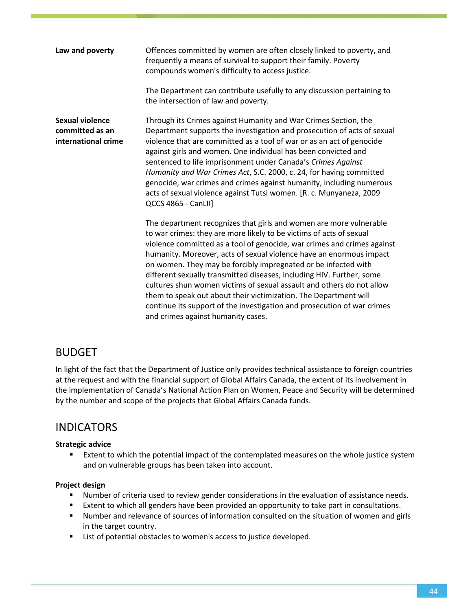| Law and poverty                                                  | Offences committed by women are often closely linked to poverty, and<br>frequently a means of survival to support their family. Poverty<br>compounds women's difficulty to access justice.<br>The Department can contribute usefully to any discussion pertaining to                                                                                                                                                                                                                                                                                                                                                                                                                                 |
|------------------------------------------------------------------|------------------------------------------------------------------------------------------------------------------------------------------------------------------------------------------------------------------------------------------------------------------------------------------------------------------------------------------------------------------------------------------------------------------------------------------------------------------------------------------------------------------------------------------------------------------------------------------------------------------------------------------------------------------------------------------------------|
|                                                                  | the intersection of law and poverty.                                                                                                                                                                                                                                                                                                                                                                                                                                                                                                                                                                                                                                                                 |
| <b>Sexual violence</b><br>committed as an<br>international crime | Through its Crimes against Humanity and War Crimes Section, the<br>Department supports the investigation and prosecution of acts of sexual<br>violence that are committed as a tool of war or as an act of genocide<br>against girls and women. One individual has been convicted and<br>sentenced to life imprisonment under Canada's Crimes Against<br>Humanity and War Crimes Act, S.C. 2000, c. 24, for having committed<br>genocide, war crimes and crimes against humanity, including numerous<br>acts of sexual violence against Tutsi women. [R. c. Munyaneza, 2009<br><b>QCCS 4865 - CanLII]</b>                                                                                            |
|                                                                  | The department recognizes that girls and women are more vulnerable<br>to war crimes: they are more likely to be victims of acts of sexual<br>violence committed as a tool of genocide, war crimes and crimes against<br>humanity. Moreover, acts of sexual violence have an enormous impact<br>on women. They may be forcibly impregnated or be infected with<br>different sexually transmitted diseases, including HIV. Further, some<br>cultures shun women victims of sexual assault and others do not allow<br>them to speak out about their victimization. The Department will<br>continue its support of the investigation and prosecution of war crimes<br>and crimes against humanity cases. |

### BUDGET

In light of the fact that the Department of Justice only provides technical assistance to foreign countries at the request and with the financial support of Global Affairs Canada, the extent of its involvement in the implementation of Canada's National Action Plan on Women, Peace and Security will be determined by the number and scope of the projects that Global Affairs Canada funds.

### INDICATORS

#### **Strategic advice**

**EXTER 1** Extent to which the potential impact of the contemplated measures on the whole justice system and on vulnerable groups has been taken into account.

#### **Project design**

- **Number of criteria used to review gender considerations in the evaluation of assistance needs.**
- **Extent to which all genders have been provided an opportunity to take part in consultations.**
- Number and relevance of sources of information consulted on the situation of women and girls in the target country.
- **EXECT** List of potential obstacles to women's access to justice developed.